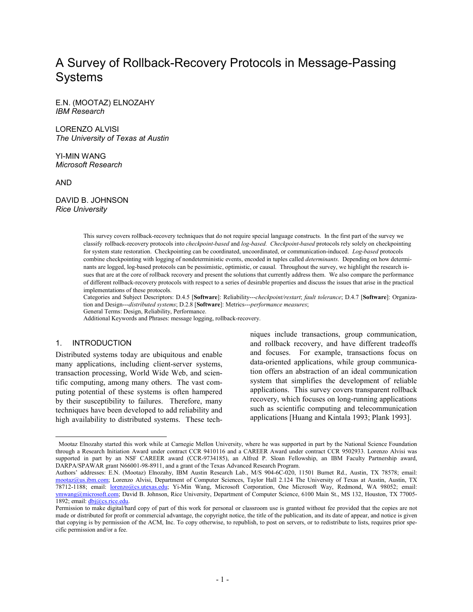# A Survey of Rollback-Recovery Protocols in Message-Passing Systems

E.N. (MOOTAZ) ELNOZAHY *IBM Research* 

LORENZO ALVISI *The University of Texas at Austin* 

YI-MIN WANG *Microsoft Research* 

AND

DAVID B. JOHNSON *Rice University* 

> This survey covers rollback-recovery techniques that do not require special language constructs. In the first part of the survey we classify rollback-recovery protocols into *checkpoint-based* and *log-based. Checkpoint-based* protocols rely solely on checkpointing for system state restoration. Checkpointing can be coordinated, uncoordinated, or communication-induced. *Log-based* protocols combine checkpointing with logging of nondeterministic events, encoded in tuples called *determinants*. Depending on how determinants are logged, log-based protocols can be pessimistic, optimistic, or causal. Throughout the survey, we highlight the research issues that are at the core of rollback recovery and present the solutions that currently address them. We also compare the performance of different rollback-recovery protocols with respect to a series of desirable properties and discuss the issues that arise in the practical implementations of these protocols.

> Categories and Subject Descriptors: D.4.5 [**Software**]: Reliability---*checkpoint/restart*; *fault tolerance*; D.4.7 [**Software**]: Organization and Design---*distributed systems*; D.2.8 [**Software**]: Metrics---*performance measures*;

General Terms: Design, Reliability, Performance.

Additional Keywords and Phrases: message logging, rollback-recovery.

#### 1. INTRODUCTION

 $\overline{\phantom{a}}$ 

Distributed systems today are ubiquitous and enable many applications, including client-server systems, transaction processing, World Wide Web, and scientific computing, among many others. The vast computing potential of these systems is often hampered by their susceptibility to failures. Therefore, many techniques have been developed to add reliability and high availability to distributed systems. These techniques include transactions, group communication, and rollback recovery, and have different tradeoffs and focuses. For example, transactions focus on data-oriented applications, while group communication offers an abstraction of an ideal communication system that simplifies the development of reliable applications. This survey covers transparent rollback recovery, which focuses on long-running applications such as scientific computing and telecommunication applications [Huang and Kintala 1993; Plank 1993].

Mootaz Elnozahy started this work while at Carnegie Mellon University, where he was supported in part by the National Science Foundation through a Research Initiation Award under contract CCR 9410116 and a CAREER Award under contract CCR 9502933. Lorenzo Alvisi was supported in part by an NSF CAREER award (CCR-9734185), an Alfred P. Sloan Fellowship, an IBM Faculty Partnership award, DARPA/SPAWAR grant N66001-98-8911, and a grant of the Texas Advanced Research Program.

Authors' addresses: E.N. (Mootaz) Elnozahy, IBM Austin Research Lab., M/S 904-6C-020, 11501 Burnet Rd., Austin, TX 78578; email: mootaz@us.ibm.com; Lorenzo Alvisi, Department of Computer Sciences, Taylor Hall 2.124 The University of Texas at Austin, Austin, TX 78712-1188; email: lorenzo@cs.utexas.edu; Yi-Min Wang, Microsoft Corporation, One Microsoft Way, Redmond, WA 98052; email: ymwang@microsoft.com; David B. Johnson, Rice University, Department of Computer Science, 6100 Main St., MS 132, Houston, TX 77005- 1892; email: dbj@cs.rice.edu.

Permission to make digital/hard copy of part of this work for personal or classroom use is granted without fee provided that the copies are not made or distributed for profit or commercial advantage, the copyright notice, the title of the publication, and its date of appear, and notice is given that copying is by permission of the ACM, Inc. To copy otherwise, to republish, to post on servers, or to redistribute to lists, requires prior specific permission and/or a fee.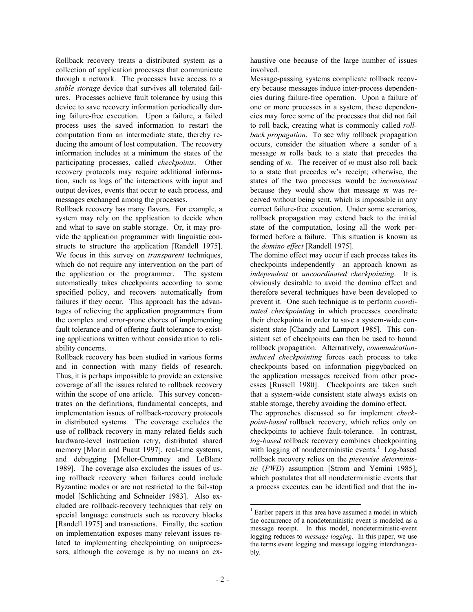Rollback recovery treats a distributed system as a collection of application processes that communicate through a network. The processes have access to a *stable storage* device that survives all tolerated failures. Processes achieve fault tolerance by using this device to save recovery information periodically during failure-free execution. Upon a failure, a failed process uses the saved information to restart the computation from an intermediate state, thereby reducing the amount of lost computation. The recovery information includes at a minimum the states of the participating processes, called *checkpoints*. Other recovery protocols may require additional information, such as logs of the interactions with input and output devices, events that occur to each process, and messages exchanged among the processes.

Rollback recovery has many flavors. For example, a system may rely on the application to decide when and what to save on stable storage. Or, it may provide the application programmer with linguistic constructs to structure the application [Randell 1975]. We focus in this survey on *transparent* techniques, which do not require any intervention on the part of the application or the programmer. The system automatically takes checkpoints according to some specified policy, and recovers automatically from failures if they occur. This approach has the advantages of relieving the application programmers from the complex and error-prone chores of implementing fault tolerance and of offering fault tolerance to existing applications written without consideration to reliability concerns.

Rollback recovery has been studied in various forms and in connection with many fields of research. Thus, it is perhaps impossible to provide an extensive coverage of all the issues related to rollback recovery within the scope of one article. This survey concentrates on the definitions, fundamental concepts, and implementation issues of rollback-recovery protocols in distributed systems. The coverage excludes the use of rollback recovery in many related fields such hardware-level instruction retry, distributed shared memory [Morin and Puaut 1997], real-time systems, and debugging [Mellor-Crummey and LeBlanc 1989]. The coverage also excludes the issues of using rollback recovery when failures could include Byzantine modes or are not restricted to the fail-stop model [Schlichting and Schneider 1983]. Also excluded are rollback-recovery techniques that rely on special language constructs such as recovery blocks [Randell 1975] and transactions. Finally, the section on implementation exposes many relevant issues related to implementing checkpointing on uniprocessors, although the coverage is by no means an exhaustive one because of the large number of issues involved.

Message-passing systems complicate rollback recovery because messages induce inter-process dependencies during failure-free operation. Upon a failure of one or more processes in a system, these dependencies may force some of the processes that did not fail to roll back, creating what is commonly called *rollback propagation*. To see why rollback propagation occurs, consider the situation where a sender of a message *m* rolls back to a state that precedes the sending of *m*. The receiver of *m* must also roll back to a state that precedes *m*'s receipt; otherwise, the states of the two processes would be *inconsistent* because they would show that message *m* was received without being sent, which is impossible in any correct failure-free execution. Under some scenarios, rollback propagation may extend back to the initial state of the computation, losing all the work performed before a failure. This situation is known as the *domino effect* [Randell 1975].

The domino effect may occur if each process takes its checkpoints independently—an approach known as *independent* or *uncoordinated checkpointing*. It is obviously desirable to avoid the domino effect and therefore several techniques have been developed to prevent it. One such technique is to perform *coordinated checkpointing* in which processes coordinate their checkpoints in order to save a system-wide consistent state [Chandy and Lamport 1985]. This consistent set of checkpoints can then be used to bound rollback propagation. Alternatively, *communicationinduced checkpointing* forces each process to take checkpoints based on information piggybacked on the application messages received from other processes [Russell 1980]. Checkpoints are taken such that a system-wide consistent state always exists on stable storage, thereby avoiding the domino effect.

The approaches discussed so far implement *checkpoint-based* rollback recovery, which relies only on checkpoints to achieve fault-tolerance. In contrast, *log-based* rollback recovery combines checkpointing with logging of nondeterministic events.<sup>1</sup> Log-based rollback recovery relies on the *piecewise deterministic* (*PWD*) assumption [Strom and Yemini 1985], which postulates that all nondeterministic events that a process executes can be identified and that the in-

l

<sup>&</sup>lt;sup>1</sup> Earlier papers in this area have assumed a model in which the occurrence of a nondeterministic event is modeled as a message receipt. In this model, nondeterministic-event logging reduces to *message logging*. In this paper, we use the terms event logging and message logging interchangeably.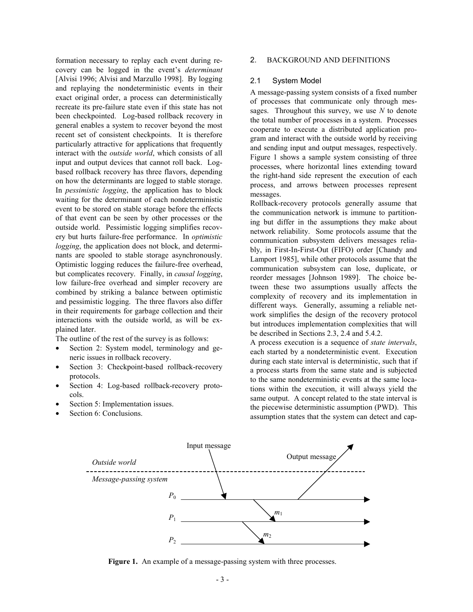formation necessary to replay each event during recovery can be logged in the event's *determinant* [Alvisi 1996; Alvisi and Marzullo 1998]. By logging and replaying the nondeterministic events in their exact original order, a process can deterministically recreate its pre-failure state even if this state has not been checkpointed. Log-based rollback recovery in general enables a system to recover beyond the most recent set of consistent checkpoints. It is therefore particularly attractive for applications that frequently interact with the *outside world*, which consists of all input and output devices that cannot roll back. Logbased rollback recovery has three flavors, depending on how the determinants are logged to stable storage. In *pessimistic logging*, the application has to block waiting for the determinant of each nondeterministic event to be stored on stable storage before the effects of that event can be seen by other processes or the outside world. Pessimistic logging simplifies recovery but hurts failure-free performance. In *optimistic logging*, the application does not block, and determinants are spooled to stable storage asynchronously. Optimistic logging reduces the failure-free overhead, but complicates recovery. Finally, in *causal logging*, low failure-free overhead and simpler recovery are combined by striking a balance between optimistic and pessimistic logging. The three flavors also differ in their requirements for garbage collection and their interactions with the outside world, as will be explained later.

The outline of the rest of the survey is as follows:

- Section 2: System model, terminology and generic issues in rollback recovery.
- Section [3:](#page-6-0) Checkpoint-based rollback-recovery protocols.
- Section [4:](#page-12-0) Log-based rollback-recovery protocols.
- Section [5:](#page-19-0) Implementation issues.
- Section [6:](#page-26-0) Conclusions.

#### 2. BACKGROUND AND DEFINITIONS

#### 2.1 System Model

A message-passing system consists of a fixed number of processes that communicate only through messages. Throughout this survey, we use *N* to denote the total number of processes in a system. Processes cooperate to execute a distributed application program and interact with the outside world by receiving and sending input and output messages, respectively. Figure 1 shows a sample system consisting of three processes, where horizontal lines extending toward the right-hand side represent the execution of each process, and arrows between processes represent messages.

Rollback-recovery protocols generally assume that the communication network is immune to partitioning but differ in the assumptions they make about network reliability. Some protocols assume that the communication subsystem delivers messages reliably, in First-In-First-Out (FIFO) order [Chandy and Lamport 1985], while other protocols assume that the communication subsystem can lose, duplicate, or reorder messages [Johnson 1989]. The choice between these two assumptions usually affects the complexity of recovery and its implementation in different ways. Generally, assuming a reliable network simplifies the design of the recovery protocol but introduces implementation complexities that will be described in Sections [2.3, 2.4](#page-4-0) and [5.4.2.](#page-22-0)

A process execution is a sequence of *state intervals*, each started by a nondeterministic event. Execution during each state interval is deterministic, such that if a process starts from the same state and is subjected to the same nondeterministic events at the same locations within the execution, it will always yield the same output. A concept related to the state interval is the piecewise deterministic assumption (PWD). This assumption states that the system can detect and cap-



**Figure 1.** An example of a message-passing system with three processes.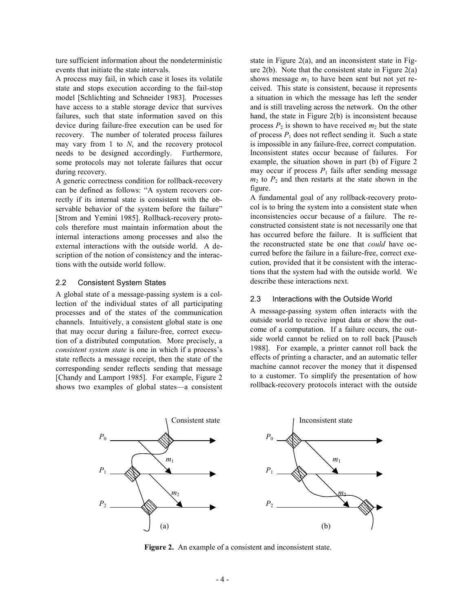ture sufficient information about the nondeterministic events that initiate the state intervals.

A process may fail, in which case it loses its volatile state and stops execution according to the fail-stop model [Schlichting and Schneider 1983]. Processes have access to a stable storage device that survives failures, such that state information saved on this device during failure-free execution can be used for recovery. The number of tolerated process failures may vary from 1 to *N*, and the recovery protocol needs to be designed accordingly. Furthermore, some protocols may not tolerate failures that occur during recovery.

A generic correctness condition for rollback-recovery can be defined as follows: "A system recovers correctly if its internal state is consistent with the observable behavior of the system before the failure" [Strom and Yemini 1985]. Rollback-recovery protocols therefore must maintain information about the internal interactions among processes and also the external interactions with the outside world. A description of the notion of consistency and the interactions with the outside world follow.

#### 2.2 Consistent System States

A global state of a message-passing system is a collection of the individual states of all participating processes and of the states of the communication channels. Intuitively, a consistent global state is one that may occur during a failure-free, correct execution of a distributed computation. More precisely, a *consistent system state* is one in which if a process's state reflects a message receipt, then the state of the corresponding sender reflects sending that message [Chandy and Lamport 1985]. For example, Figure 2 shows two examples of global states—a consistent

state in Figure 2(a), and an inconsistent state in Figure  $2(b)$ . Note that the consistent state in Figure  $2(a)$ shows message  $m_1$  to have been sent but not yet received. This state is consistent, because it represents a situation in which the message has left the sender and is still traveling across the network. On the other hand, the state in Figure 2(b) is inconsistent because process  $P_2$  is shown to have received  $m_2$  but the state of process  $P_1$  does not reflect sending it. Such a state is impossible in any failure-free, correct computation. Inconsistent states occur because of failures. For example, the situation shown in part (b) of Figure 2 may occur if process  $P_1$  fails after sending message  $m<sub>2</sub>$  to  $P<sub>2</sub>$  and then restarts at the state shown in the figure.

A fundamental goal of any rollback-recovery protocol is to bring the system into a consistent state when inconsistencies occur because of a failure. The reconstructed consistent state is not necessarily one that has occurred before the failure. It is sufficient that the reconstructed state be one that *could* have occurred before the failure in a failure-free, correct execution, provided that it be consistent with the interactions that the system had with the outside world. We describe these interactions next.

#### 2.3 Interactions with the Outside World

A message-passing system often interacts with the outside world to receive input data or show the outcome of a computation. If a failure occurs, the outside world cannot be relied on to roll back [Pausch 1988]. For example, a printer cannot roll back the effects of printing a character, and an automatic teller machine cannot recover the money that it dispensed to a customer. To simplify the presentation of how rollback-recovery protocols interact with the outside



**Figure 2.** An example of a consistent and inconsistent state.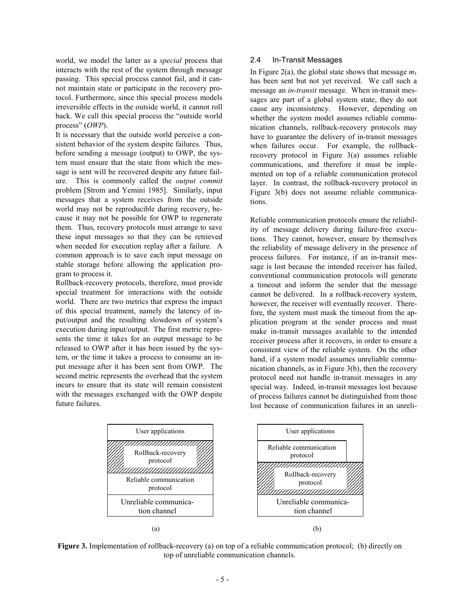<span id="page-4-0"></span>world, we model the latter as a *special* process that interacts with the rest of the system through message passing. This special process cannot fail, and it cannot maintain state or participate in the recovery protocol. Furthermore, since this special process models irreversible effects in the outside world, it cannot roll back. We call this special process the "outside world process" (*OWP*).

It is necessary that the outside world perceive a consistent behavior of the system despite failures. Thus, before sending a message (output) to OWP, the system must ensure that the state from which the message is sent will be recovered despite any future failure. This is commonly called the *output commit* problem [Strom and Yemini 1985]. Similarly, input messages that a system receives from the outside world may not be reproducible during recovery, because it may not be possible for OWP to regenerate them. Thus, recovery protocols must arrange to save these input messages so that they can be retrieved when needed for execution replay after a failure. A common approach is to save each input message on stable storage before allowing the application program to process it.

Rollback-recovery protocols, therefore, must provide special treatment for interactions with the outside world. There are two metrics that express the impact of this special treatment, namely the latency of input/output and the resulting slowdown of system's execution during input/output. The first metric represents the time it takes for an output message to be released to OWP after it has been issued by the system, or the time it takes a process to consume an input message after it has been sent from OWP. The second metric represents the overhead that the system incurs to ensure that its state will remain consistent with the messages exchanged with the OWP despite future failures.

#### 2.4 In-Transit Messages

In Figure 2(a), the global state shows that message  $m_1$ has been sent but not yet received. We call such a message an *in-transit* message. When in-transit messages are part of a global system state, they do not cause any inconsistency. However, depending on whether the system model assumes reliable communication channels, rollback-recovery protocols may have to guarantee the delivery of in-transit messages when failures occur. For example, the rollbackrecovery protocol in Figure 3(a) assumes reliable communications, and therefore it must be implemented on top of a reliable communication protocol layer. In contrast, the rollback-recovery protocol in Figure 3(b) does not assume reliable communications.

Reliable communication protocols ensure the reliability of message delivery during failure-free executions. They cannot, however, ensure by themselves the reliability of message delivery in the presence of process failures. For instance, if an in-transit message is lost because the intended receiver has failed, conventional communication protocols will generate a timeout and inform the sender that the message cannot be delivered. In a rollback-recovery system, however, the receiver will eventually recover. Therefore, the system must mask the timeout from the application program at the sender process and must make in-transit messages available to the intended receiver process after it recovers, in order to ensure a consistent view of the reliable system. On the other hand, if a system model assumes unreliable communication channels, as in Figure 3(b), then the recovery protocol need not handle in-transit messages in any special way. Indeed, in-transit messages lost because of process failures cannot be distinguished from those lost because of communication failures in an unreli-



**Figure 3.** Implementation of rollback-recovery (a) on top of a reliable communication protocol; (b) directly on top of unreliable communication channels.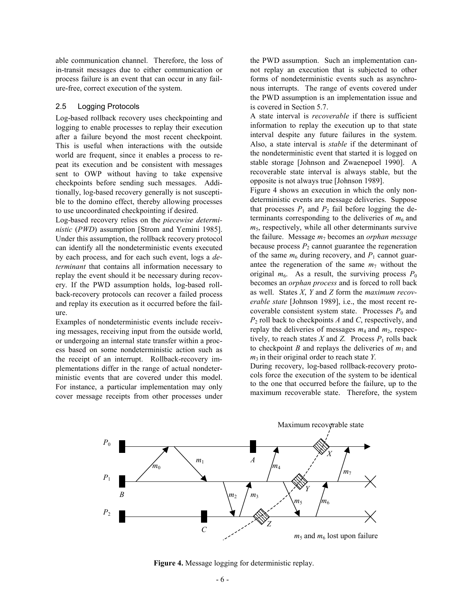able communication channel. Therefore, the loss of in-transit messages due to either communication or process failure is an event that can occur in any failure-free, correct execution of the system.

#### 2.5 Logging Protocols

Log-based rollback recovery uses checkpointing and logging to enable processes to replay their execution after a failure beyond the most recent checkpoint. This is useful when interactions with the outside world are frequent, since it enables a process to repeat its execution and be consistent with messages sent to OWP without having to take expensive checkpoints before sending such messages. Additionally, log-based recovery generally is not susceptible to the domino effect, thereby allowing processes to use uncoordinated checkpointing if desired.

Log-based recovery relies on the *piecewise deterministic* (*PWD*) assumption [Strom and Yemini 1985]. Under this assumption, the rollback recovery protocol can identify all the nondeterministic events executed by each process, and for each such event, logs a *determinant* that contains all information necessary to replay the event should it be necessary during recovery. If the PWD assumption holds, log-based rollback-recovery protocols can recover a failed process and replay its execution as it occurred before the failure.

Examples of nondeterministic events include receiving messages, receiving input from the outside world, or undergoing an internal state transfer within a process based on some nondeterministic action such as the receipt of an interrupt. Rollback-recovery implementations differ in the range of actual nondeterministic events that are covered under this model. For instance, a particular implementation may only cover message receipts from other processes under the PWD assumption. Such an implementation cannot replay an execution that is subjected to other forms of nondeterministic events such as asynchronous interrupts. The range of events covered under the PWD assumption is an implementation issue and is covered in Section [5.7.](#page-23-0)

A state interval is *recoverable* if there is sufficient information to replay the execution up to that state interval despite any future failures in the system. Also, a state interval is *stable* if the determinant of the nondeterministic event that started it is logged on stable storage [Johnson and Zwaenepoel 1990]. A recoverable state interval is always stable, but the opposite is not always true [Johnson 1989].

Figure 4 shows an execution in which the only nondeterministic events are message deliveries. Suppose that processes  $P_1$  and  $P_2$  fail before logging the determinants corresponding to the deliveries of  $m<sub>6</sub>$  and  $m<sub>5</sub>$ , respectively, while all other determinants survive the failure. Message *m*7 becomes an *orphan message* because process  $P_2$  cannot guarantee the regeneration of the same  $m_6$  during recovery, and  $P_1$  cannot guarantee the regeneration of the same  $m_7$  without the original  $m_6$ . As a result, the surviving process  $P_0$ becomes an *orphan process* and is forced to roll back as well. States *X*, *Y* and *Z* form the *maximum recoverable state* [Johnson 1989], i.e., the most recent recoverable consistent system state. Processes  $P_0$  and *P*2 roll back to checkpoints *A* and *C*, respectively, and replay the deliveries of messages  $m_4$  and  $m_2$ , respectively, to reach states  $X$  and  $Z$ . Process  $P_1$  rolls back to checkpoint *B* and replays the deliveries of  $m_1$  and  $m_3$  in their original order to reach state *Y*.

During recovery, log-based rollback-recovery protocols force the execution of the system to be identical to the one that occurred before the failure, up to the maximum recoverable state. Therefore, the system



**Figure 4.** Message logging for deterministic replay.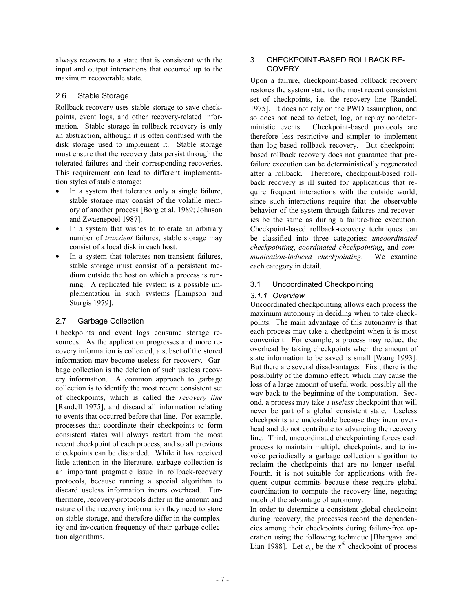<span id="page-6-0"></span>always recovers to a state that is consistent with the input and output interactions that occurred up to the maximum recoverable state.

### 2.6 Stable Storage

Rollback recovery uses stable storage to save checkpoints, event logs, and other recovery-related information. Stable storage in rollback recovery is only an abstraction, although it is often confused with the disk storage used to implement it. Stable storage must ensure that the recovery data persist through the tolerated failures and their corresponding recoveries. This requirement can lead to different implementation styles of stable storage:

- In a system that tolerates only a single failure, stable storage may consist of the volatile memory of another process [Borg et al. 1989; Johnson and Zwaenepoel 1987].
- In a system that wishes to tolerate an arbitrary number of *transient* failures, stable storage may consist of a local disk in each host.
- In a system that tolerates non-transient failures, stable storage must consist of a persistent medium outside the host on which a process is running. A replicated file system is a possible implementation in such systems [Lampson and Sturgis 1979].

# 2.7 Garbage Collection

Checkpoints and event logs consume storage resources. As the application progresses and more recovery information is collected, a subset of the stored information may become useless for recovery. Garbage collection is the deletion of such useless recovery information. A common approach to garbage collection is to identify the most recent consistent set of checkpoints, which is called the *recovery line* [Randell 1975], and discard all information relating to events that occurred before that line. For example, processes that coordinate their checkpoints to form consistent states will always restart from the most recent checkpoint of each process, and so all previous checkpoints can be discarded. While it has received little attention in the literature, garbage collection is an important pragmatic issue in rollback-recovery protocols, because running a special algorithm to discard useless information incurs overhead. Furthermore, recovery-protocols differ in the amount and nature of the recovery information they need to store on stable storage, and therefore differ in the complexity and invocation frequency of their garbage collection algorithms.

### 3. CHECKPOINT-BASED ROLLBACK RE-**COVERY**

Upon a failure, checkpoint-based rollback recovery restores the system state to the most recent consistent set of checkpoints, i.e. the recovery line [Randell 1975]. It does not rely on the PWD assumption, and so does not need to detect, log, or replay nondeterministic events. Checkpoint-based protocols are therefore less restrictive and simpler to implement than log-based rollback recovery. But checkpointbased rollback recovery does not guarantee that prefailure execution can be deterministically regenerated after a rollback. Therefore, checkpoint-based rollback recovery is ill suited for applications that require frequent interactions with the outside world, since such interactions require that the observable behavior of the system through failures and recoveries be the same as during a failure-free execution. Checkpoint-based rollback-recovery techniques can be classified into three categories: *uncoordinated checkpointing*, *coordinated checkpointing*, and *communication-induced checkpointing*. We examine each category in detail.

### 3.1 Uncoordinated Checkpointing

### *3.1.1 Overview*

Uncoordinated checkpointing allows each process the maximum autonomy in deciding when to take checkpoints. The main advantage of this autonomy is that each process may take a checkpoint when it is most convenient. For example, a process may reduce the overhead by taking checkpoints when the amount of state information to be saved is small [Wang 1993]. But there are several disadvantages. First, there is the possibility of the domino effect, which may cause the loss of a large amount of useful work, possibly all the way back to the beginning of the computation. Second, a process may take a *useless* checkpoint that will never be part of a global consistent state. Useless checkpoints are undesirable because they incur overhead and do not contribute to advancing the recovery line. Third, uncoordinated checkpointing forces each process to maintain multiple checkpoints, and to invoke periodically a garbage collection algorithm to reclaim the checkpoints that are no longer useful. Fourth, it is not suitable for applications with frequent output commits because these require global coordination to compute the recovery line, negating much of the advantage of autonomy.

In order to determine a consistent global checkpoint during recovery, the processes record the dependencies among their checkpoints during failure-free operation using the following technique [Bhargava and Lian 1988]. Let  $c_{i,x}$  be the  $x^{th}$  checkpoint of process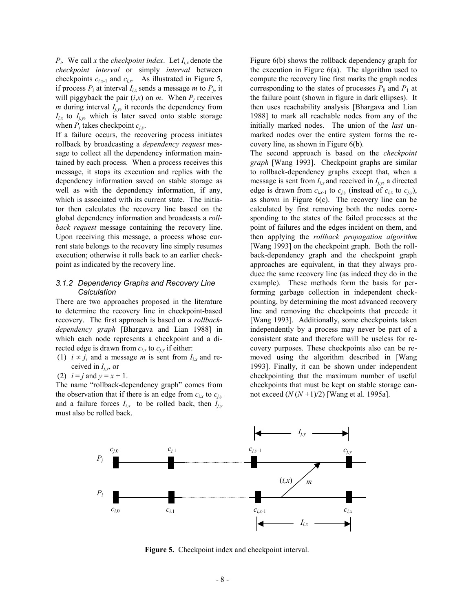$P_i$ . We call *x* the *checkpoint index*. Let  $I_{i,x}$  denote the *checkpoint interval* or simply *interval* between checkpoints  $c_{i,x-1}$  and  $c_{i,x}$ . As illustrated in Figure 5, if process  $P_i$  at interval  $I_{i,x}$  sends a message *m* to  $P_j$ , it will piggyback the pair  $(i, x)$  on *m*. When  $P_j$  receives *m* during interval  $I_{i,y}$ , it records the dependency from  $I_{i,x}$  to  $I_{j,y}$ , which is later saved onto stable storage when  $P_i$  takes checkpoint  $c_{i,v}$ .

If a failure occurs, the recovering process initiates rollback by broadcasting a *dependency request* message to collect all the dependency information maintained by each process. When a process receives this message, it stops its execution and replies with the dependency information saved on stable storage as well as with the dependency information, if any, which is associated with its current state. The initiator then calculates the recovery line based on the global dependency information and broadcasts a *rollback request* message containing the recovery line. Upon receiving this message, a process whose current state belongs to the recovery line simply resumes execution; otherwise it rolls back to an earlier checkpoint as indicated by the recovery line.

#### *3.1.2 Dependency Graphs and Recovery Line Calculation*

There are two approaches proposed in the literature to determine the recovery line in checkpoint-based recovery. The first approach is based on a *rollbackdependency graph* [Bhargava and Lian 1988] in which each node represents a checkpoint and a directed edge is drawn from  $c_{i,x}$  to  $c_{i,y}$  if either:

- (1)  $i \neq j$ , and a message *m* is sent from  $I_{ix}$  and received in  $I_{i,y}$ , or
- (2)  $i = j$  and  $y = x + 1$ .

The name "rollback-dependency graph" comes from the observation that if there is an edge from  $c_{i,x}$  to  $c_{j,y}$ and a failure forces  $I_{i,x}$  to be rolled back, then  $I_{i,y}$ must also be rolled back.

Figure 6(b) shows the rollback dependency graph for the execution in Figure  $6(a)$ . The algorithm used to compute the recovery line first marks the graph nodes corresponding to the states of processes  $P_0$  and  $P_1$  at the failure point (shown in figure in dark ellipses). It then uses reachability analysis [Bhargava and Lian 1988] to mark all reachable nodes from any of the initially marked nodes. The union of the *last* unmarked nodes over the entire system forms the recovery line, as shown in Figure 6(b).

The second approach is based on the *checkpoint graph* [Wang 1993]. Checkpoint graphs are similar to rollback-dependency graphs except that, when a message is sent from  $I_{i,x}$  and received in  $I_{i,y}$ , a directed edge is drawn from  $c_{i,x-1}$  to  $c_{i,y}$  (instead of  $c_{i,x}$  to  $c_{i,y}$ ), as shown in Figure 6(c). The recovery line can be calculated by first removing both the nodes corresponding to the states of the failed processes at the point of failures and the edges incident on them, and then applying the *rollback propagation algorithm*  [Wang 1993] on the checkpoint graph. Both the rollback-dependency graph and the checkpoint graph approaches are equivalent, in that they always produce the same recovery line (as indeed they do in the example). These methods form the basis for performing garbage collection in independent checkpointing, by determining the most advanced recovery line and removing the checkpoints that precede it [Wang 1993]. Additionally, some checkpoints taken independently by a process may never be part of a consistent state and therefore will be useless for recovery purposes. These checkpoints also can be removed using the algorithm described in [Wang 1993]. Finally, it can be shown under independent checkpointing that the maximum number of useful checkpoints that must be kept on stable storage cannot exceed (*N* (*N +*1)/2) [Wang et al. 1995a].



**Figure 5.** Checkpoint index and checkpoint interval.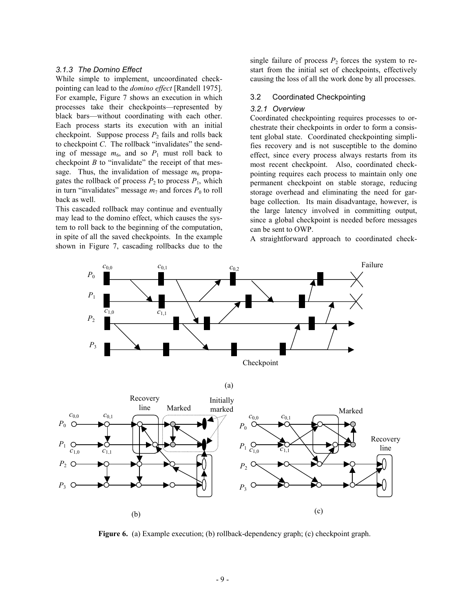#### *3.1.3 The Domino Effect*

While simple to implement, uncoordinated checkpointing can lead to the *domino effect* [Randell 1975]. For example, Figure 7 shows an execution in which processes take their checkpoints—represented by black bars—without coordinating with each other. Each process starts its execution with an initial checkpoint. Suppose process  $P_2$  fails and rolls back to checkpoint *C*. The rollback "invalidates" the sending of message  $m_6$ , and so  $P_1$  must roll back to checkpoint *B* to "invalidate" the receipt of that message. Thus, the invalidation of message  $m_6$  propagates the rollback of process  $P_2$  to process  $P_1$ , which in turn "invalidates" message  $m_7$  and forces  $P_0$  to roll back as well.

This cascaded rollback may continue and eventually may lead to the domino effect, which causes the system to roll back to the beginning of the computation, in spite of all the saved checkpoints. In the example shown in Figure 7, cascading rollbacks due to the

single failure of process  $P_2$  forces the system to restart from the initial set of checkpoints, effectively causing the loss of all the work done by all processes.

#### 3.2 Coordinated Checkpointing

#### *3.2.1 Overview*

Coordinated checkpointing requires processes to orchestrate their checkpoints in order to form a consistent global state. Coordinated checkpointing simplifies recovery and is not susceptible to the domino effect, since every process always restarts from its most recent checkpoint. Also, coordinated checkpointing requires each process to maintain only one permanent checkpoint on stable storage, reducing storage overhead and eliminating the need for garbage collection. Its main disadvantage, however, is the large latency involved in committing output, since a global checkpoint is needed before messages can be sent to OWP.

A straightforward approach to coordinated check-



**Figure 6.** (a) Example execution; (b) rollback-dependency graph; (c) checkpoint graph.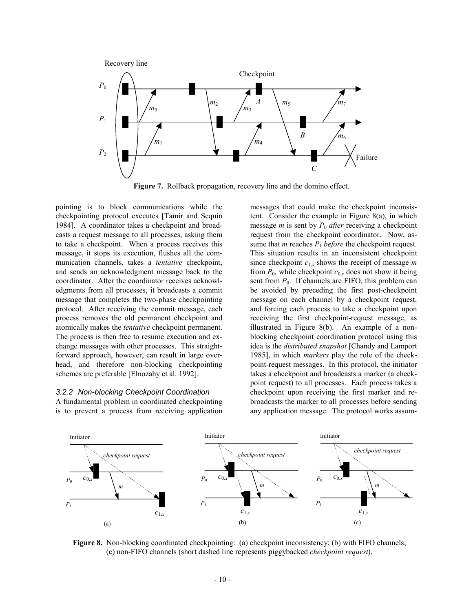

**Figure 7.** Rollback propagation, recovery line and the domino effect.

pointing is to block communications while the checkpointing protocol executes [Tamir and Sequin 1984]. A coordinator takes a checkpoint and broadcasts a request message to all processes, asking them to take a checkpoint. When a process receives this message, it stops its execution, flushes all the communication channels, takes a *tentative* checkpoint, and sends an acknowledgment message back to the coordinator. After the coordinator receives acknowledgments from all processes, it broadcasts a commit message that completes the two-phase checkpointing protocol. After receiving the commit message, each process removes the old permanent checkpoint and atomically makes the *tentative* checkpoint permanent. The process is then free to resume execution and exchange messages with other processes. This straightforward approach, however, can result in large overhead, and therefore non-blocking checkpointing schemes are preferable [Elnozahy et al. 1992].

#### *3.2.2 Non-blocking Checkpoint Coordination*

A fundamental problem in coordinated checkpointing is to prevent a process from receiving application

messages that could make the checkpoint inconsistent. Consider the example in Figure 8(a), in which message *m* is sent by  $P_0$  *after* receiving a checkpoint request from the checkpoint coordinator. Now, assume that *m* reaches  $P_1$  *before* the checkpoint request. This situation results in an inconsistent checkpoint since checkpoint  $c_{1x}$  shows the receipt of message *m* from  $P_0$ , while checkpoint  $c_{0x}$  does not show it being sent from  $P_0$ . If channels are FIFO, this problem can be avoided by preceding the first post-checkpoint message on each channel by a checkpoint request, and forcing each process to take a checkpoint upon receiving the first checkpoint-request message, as illustrated in Figure 8(b). An example of a nonblocking checkpoint coordination protocol using this idea is the *distributed snapshot* [Chandy and Lamport 1985], in which *markers* play the role of the checkpoint-request messages. In this protocol, the initiator takes a checkpoint and broadcasts a marker (a checkpoint request) to all processes. Each process takes a checkpoint upon receiving the first marker and rebroadcasts the marker to all processes before sending any application message. The protocol works assum-



**Figure 8.** Non-blocking coordinated checkpointing: (a) checkpoint inconsistency; (b) with FIFO channels; (c) non-FIFO channels (short dashed line represents piggybacked *checkpoint request*).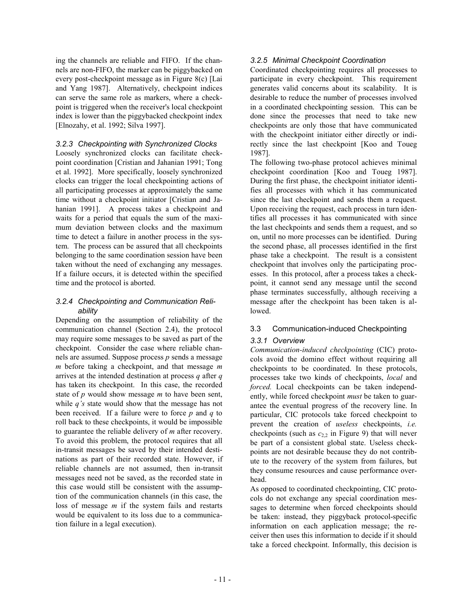ing the channels are reliable and FIFO. If the channels are non-FIFO, the marker can be piggybacked on every post-checkpoint message as in Figure 8(c) [Lai and Yang 1987]. Alternatively, checkpoint indices can serve the same role as markers, where a checkpoint is triggered when the receiver's local checkpoint index is lower than the piggybacked checkpoint index [Elnozahy, et al. 1992; Silva 1997].

### *3.2.3 Checkpointing with Synchronized Clocks*

Loosely synchronized clocks can facilitate checkpoint coordination [Cristian and Jahanian 1991; Tong et al. 1992]. More specifically, loosely synchronized clocks can trigger the local checkpointing actions of all participating processes at approximately the same time without a checkpoint initiator [Cristian and Jahanian 1991]. A process takes a checkpoint and waits for a period that equals the sum of the maximum deviation between clocks and the maximum time to detect a failure in another process in the system. The process can be assured that all checkpoints belonging to the same coordination session have been taken without the need of exchanging any messages. If a failure occurs, it is detected within the specified time and the protocol is aborted.

### *3.2.4 Checkpointing and Communication Reliability*

Depending on the assumption of reliability of the communication channel (Section [2.4\)](#page-4-0), the protocol may require some messages to be saved as part of the checkpoint. Consider the case where reliable channels are assumed. Suppose process *p* sends a message *m* before taking a checkpoint, and that message *m*  arrives at the intended destination at process *q* after *q* has taken its checkpoint. In this case, the recorded state of *p* would show message *m* to have been sent, while *q's* state would show that the message has not been received. If a failure were to force *p* and *q* to roll back to these checkpoints, it would be impossible to guarantee the reliable delivery of *m* after recovery. To avoid this problem, the protocol requires that all in-transit messages be saved by their intended destinations as part of their recorded state. However, if reliable channels are not assumed, then in-transit messages need not be saved, as the recorded state in this case would still be consistent with the assumption of the communication channels (in this case, the loss of message *m* if the system fails and restarts would be equivalent to its loss due to a communication failure in a legal execution).

# *3.2.5 Minimal Checkpoint Coordination*

Coordinated checkpointing requires all processes to participate in every checkpoint. This requirement generates valid concerns about its scalability. It is desirable to reduce the number of processes involved in a coordinated checkpointing session. This can be done since the processes that need to take new checkpoints are only those that have communicated with the checkpoint initiator either directly or indirectly since the last checkpoint [Koo and Toueg 1987].

The following two-phase protocol achieves minimal checkpoint coordination [Koo and Toueg 1987]. During the first phase, the checkpoint initiator identifies all processes with which it has communicated since the last checkpoint and sends them a request. Upon receiving the request, each process in turn identifies all processes it has communicated with since the last checkpoints and sends them a request, and so on, until no more processes can be identified. During the second phase, all processes identified in the first phase take a checkpoint. The result is a consistent checkpoint that involves only the participating processes. In this protocol, after a process takes a checkpoint, it cannot send any message until the second phase terminates successfully, although receiving a message after the checkpoint has been taken is allowed.

# 3.3 Communication-induced Checkpointing

# *3.3.1 Overview*

*Communication-induced checkpointing* (CIC) protocols avoid the domino effect without requiring all checkpoints to be coordinated. In these protocols, processes take two kinds of checkpoints, *local* and *forced.* Local checkpoints can be taken independently, while forced checkpoint *must* be taken to guarantee the eventual progress of the recovery line. In particular, CIC protocols take forced checkpoint to prevent the creation of *useless* checkpoints, *i.e.* checkpoints (such as  $c_{2,2}$  in Figure 9) that will never be part of a consistent global state. Useless checkpoints are not desirable because they do not contribute to the recovery of the system from failures, but they consume resources and cause performance overhead.

As opposed to coordinated checkpointing, CIC protocols do not exchange any special coordination messages to determine when forced checkpoints should be taken: instead, they piggyback protocol-specific information on each application message; the receiver then uses this information to decide if it should take a forced checkpoint. Informally, this decision is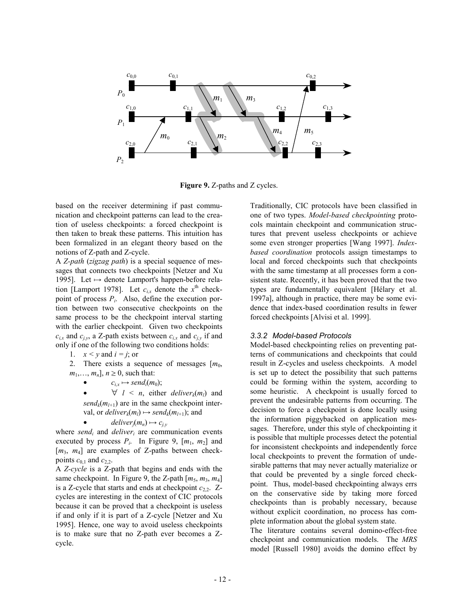

**Figure 9.** Z-paths and Z cycles.

based on the receiver determining if past communication and checkpoint patterns can lead to the creation of useless checkpoints: a forced checkpoint is then taken to break these patterns. This intuition has been formalized in an elegant theory based on the notions of Z-path and Z-cycle.

A *Z-path* (*zigzag path*) is a special sequence of messages that connects two checkpoints [Netzer and Xu 1995]. Let  $\mapsto$  denote Lamport's happen-before relation [Lamport 1978]. Let  $c_{i,x}$  denote the  $x^{\text{th}}$  checkpoint of process  $P_i$ . Also, define the execution portion between two consecutive checkpoints on the same process to be the checkpoint interval starting with the earlier checkpoint. Given two checkpoints  $c_{i,x}$  and  $c_{i,y}$ , a Z-path exists between  $c_{i,x}$  and  $c_{i,y}$  if and only if one of the following two conditions holds:

1.  $x < y$  and  $i = j$ ; or

2. There exists a sequence of messages  $[m_0,$  $m_1, \ldots, m_n$ ,  $n \geq 0$ , such that:

 $c_{i,x} \mapsto \text{send}_i(m_0);$ 

 $\forall$  *l* < *n*, either *deliver<sub>k</sub>*(*m<sub>l</sub>*) and  $send_k(m_{l+1})$  are in the same checkpoint interval, or *deliver*<sub>k</sub> $(m_l) \rightarrow send_k(m_{l+1})$ ; and

• 
$$
deliver_j(m_n) \rightarrow c_{j,y}
$$

where *send<sub>i</sub>* and *deliver<sub>i</sub>* are communication events executed by process  $P_i$ . In Figure 9,  $[m_1, m_2]$  and [ $m_3$ ,  $m_4$ ] are examples of Z-paths between checkpoints  $c_{0,1}$  and  $c_{2,2}$ .

A *Z-cycle* is a Z-path that begins and ends with the same checkpoint. In Figure 9, the Z-path  $[m_5, m_3, m_4]$ is a Z-cycle that starts and ends at checkpoint  $c_{2,2}$ . Zcycles are interesting in the context of CIC protocols because it can be proved that a checkpoint is useless if and only if it is part of a Z-cycle [Netzer and Xu 1995]. Hence, one way to avoid useless checkpoints is to make sure that no Z-path ever becomes a Zcycle.

Traditionally, CIC protocols have been classified in one of two types. *Model-based checkpointing* protocols maintain checkpoint and communication structures that prevent useless checkpoints or achieve some even stronger properties [Wang 1997]. *Indexbased coordination* protocols assign timestamps to local and forced checkpoints such that checkpoints with the same timestamp at all processes form a consistent state. Recently, it has been proved that the two types are fundamentally equivalent [Hélary et al. 1997a], although in practice, there may be some evidence that index-based coordination results in fewer forced checkpoints [Alvisi et al. 1999].

#### *3.3.2 Model-based Protocols*

Model-based checkpointing relies on preventing patterns of communications and checkpoints that could result in Z-cycles and useless checkpoints. A model is set up to detect the possibility that such patterns could be forming within the system, according to some heuristic. A checkpoint is usually forced to prevent the undesirable patterns from occurring. The decision to force a checkpoint is done locally using the information piggybacked on application messages. Therefore, under this style of checkpointing it is possible that multiple processes detect the potential for inconsistent checkpoints and independently force local checkpoints to prevent the formation of undesirable patterns that may never actually materialize or that could be prevented by a single forced checkpoint. Thus, model-based checkpointing always errs on the conservative side by taking more forced checkpoints than is probably necessary, because without explicit coordination, no process has complete information about the global system state.

The literature contains several domino-effect-free checkpoint and communication models. The *MRS* model [Russell 1980] avoids the domino effect by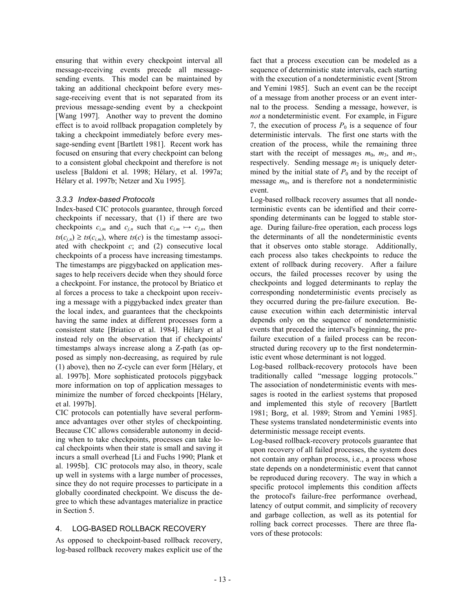<span id="page-12-0"></span>ensuring that within every checkpoint interval all message-receiving events precede all messagesending events. This model can be maintained by taking an additional checkpoint before every message-receiving event that is not separated from its previous message-sending event by a checkpoint [Wang 1997]. Another way to prevent the domino effect is to avoid rollback propagation completely by taking a checkpoint immediately before every message-sending event [Bartlett 1981]. Recent work has focused on ensuring that every checkpoint can belong to a consistent global checkpoint and therefore is not useless [Baldoni et al. 1998; Hélary, et al. 1997a; Hélary et al. 1997b; Netzer and Xu 1995].

#### *3.3.3 Index-based Protocols*

Index-based CIC protocols guarantee, through forced checkpoints if necessary, that (1) if there are two checkpoints  $c_{i,m}$  and  $c_{i,n}$  such that  $c_{i,m} \mapsto c_{i,n}$ , then  $ts(c_{i,n}) \geq ts(c_{i,m})$ , where  $ts(c)$  is the timestamp associated with checkpoint  $c$ ; and  $(2)$  consecutive local checkpoints of a process have increasing timestamps. The timestamps are piggybacked on application messages to help receivers decide when they should force a checkpoint. For instance, the protocol by Briatico et al forces a process to take a checkpoint upon receiving a message with a piggybacked index greater than the local index, and guarantees that the checkpoints having the same index at different processes form a consistent state [Briatico et al. 1984]. Hélary et al instead rely on the observation that if checkpoints' timestamps always increase along a Z-path (as opposed as simply non-decreasing, as required by rule (1) above), then no Z-cycle can ever form [Hélary, et al. 1997b]. More sophisticated protocols piggyback more information on top of application messages to minimize the number of forced checkpoints [Hélary, et al. 1997b].

CIC protocols can potentially have several performance advantages over other styles of checkpointing. Because CIC allows considerable autonomy in deciding when to take checkpoints, processes can take local checkpoints when their state is small and saving it incurs a small overhead [Li and Fuchs 1990; Plank et al. 1995b]. CIC protocols may also, in theory, scale up well in systems with a large number of processes, since they do not require processes to participate in a globally coordinated checkpoint. We discuss the degree to which these advantages materialize in practice in Section 5.

### 4. LOG-BASED ROLLBACK RECOVERY

As opposed to checkpoint-based rollback recovery, log-based rollback recovery makes explicit use of the fact that a process execution can be modeled as a sequence of deterministic state intervals, each starting with the execution of a nondeterministic event [Strom and Yemini 1985]. Such an event can be the receipt of a message from another process or an event internal to the process. Sending a message, however, is *not* a nondeterministic event. For example, in Figure 7, the execution of process  $P_0$  is a sequence of four deterministic intervals. The first one starts with the creation of the process, while the remaining three start with the receipt of messages  $m_0$ ,  $m_3$ , and  $m_7$ , respectively. Sending message  $m<sub>2</sub>$  is uniquely determined by the initial state of  $P_0$  and by the receipt of message  $m_0$ , and is therefore not a nondeterministic event.

Log-based rollback recovery assumes that all nondeterministic events can be identified and their corresponding determinants can be logged to stable storage. During failure-free operation, each process logs the determinants of all the nondeterministic events that it observes onto stable storage. Additionally, each process also takes checkpoints to reduce the extent of rollback during recovery. After a failure occurs, the failed processes recover by using the checkpoints and logged determinants to replay the corresponding nondeterministic events precisely as they occurred during the pre-failure execution. Because execution within each deterministic interval depends only on the sequence of nondeterministic events that preceded the interval's beginning, the prefailure execution of a failed process can be reconstructed during recovery up to the first nondeterministic event whose determinant is not logged.

Log-based rollback-recovery protocols have been traditionally called "message logging protocols." The association of nondeterministic events with messages is rooted in the earliest systems that proposed and implemented this style of recovery [Bartlett 1981; Borg, et al. 1989; Strom and Yemini 1985]. These systems translated nondeterministic events into deterministic message receipt events.

Log-based rollback-recovery protocols guarantee that upon recovery of all failed processes, the system does not contain any orphan process, i.e., a process whose state depends on a nondeterministic event that cannot be reproduced during recovery. The way in which a specific protocol implements this condition affects the protocol's failure-free performance overhead, latency of output commit, and simplicity of recovery and garbage collection, as well as its potential for rolling back correct processes. There are three flavors of these protocols: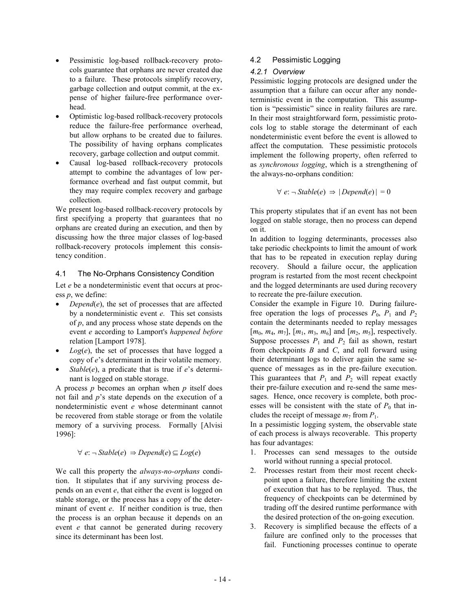- Pessimistic log-based rollback-recovery protocols guarantee that orphans are never created due to a failure. These protocols simplify recovery, garbage collection and output commit, at the expense of higher failure-free performance overhead.
- Optimistic log-based rollback-recovery protocols reduce the failure-free performance overhead, but allow orphans to be created due to failures. The possibility of having orphans complicates recovery, garbage collection and output commit.
- Causal log-based rollback-recovery protocols attempt to combine the advantages of low performance overhead and fast output commit, but they may require complex recovery and garbage collection.

We present log-based rollback-recovery protocols by first specifying a property that guarantees that no orphans are created during an execution, and then by discussing how the three major classes of log-based rollback-recovery protocols implement this consistency condition.

### 4.1 The No-Orphans Consistency Condition

Let *e* be a nondeterministic event that occurs at process *p*, we define:

- *Depend*( $e$ ), the set of processes that are affected by a nondeterministic event *e.* This set consists of *p*, and any process whose state depends on the event *e* according to Lamport's *happened before* relation [Lamport 1978].
- $Log(e)$ , the set of processes that have logged a copy of *e*'s determinant in their volatile memory.
- *Stable*(*e*), a predicate that is true if *e*'s determinant is logged on stable storage.

A process *p* becomes an orphan when *p* itself does not fail and *p*'s state depends on the execution of a nondeterministic event *e* whose determinant cannot be recovered from stable storage or from the volatile memory of a surviving process. Formally [Alvisi 1996]:

### $\forall e: \neg \text{Stable}(e) \Rightarrow \text{Depend}(e) \subseteq \text{Log}(e)$

We call this property the *always-no-orphans* condition. It stipulates that if any surviving process depends on an event *e*, that either the event is logged on stable storage, or the process has a copy of the determinant of event *e*. If neither condition is true, then the process is an orphan because it depends on an event *e* that cannot be generated during recovery since its determinant has been lost.

# 4.2 Pessimistic Logging

### *4.2.1 Overview*

Pessimistic logging protocols are designed under the assumption that a failure can occur after any nondeterministic event in the computation. This assumption is "pessimistic" since in reality failures are rare. In their most straightforward form, pessimistic protocols log to stable storage the determinant of each nondeterministic event before the event is allowed to affect the computation. These pessimistic protocols implement the following property, often referred to as *synchronous logging*, which is a strengthening of the always-no-orphans condition:

$$
\forall e: \neg \mathit{Stable}(e) \Rightarrow |\mathit{Depend}(e)| = 0
$$

This property stipulates that if an event has not been logged on stable storage, then no process can depend on it.

In addition to logging determinants, processes also take periodic checkpoints to limit the amount of work that has to be repeated in execution replay during recovery. Should a failure occur, the application program is restarted from the most recent checkpoint and the logged determinants are used during recovery to recreate the pre-failure execution.

Consider the example in Figure 10. During failurefree operation the logs of processes  $P_0$ ,  $P_1$  and  $P_2$ contain the determinants needed to replay messages [*m*0, *m*4, *m*7], [*m*1, *m*3, *m*6] and [*m*2, *m*5], respectively. Suppose processes  $P_1$  and  $P_2$  fail as shown, restart from checkpoints *B* and *C*, and roll forward using their determinant logs to deliver again the same sequence of messages as in the pre-failure execution. This guarantees that  $P_1$  and  $P_2$  will repeat exactly their pre-failure execution and re-send the same messages. Hence, once recovery is complete, both processes will be consistent with the state of  $P_0$  that includes the receipt of message  $m_7$  from  $P_1$ .

In a pessimistic logging system, the observable state of each process is always recoverable. This property has four advantages:

- 1. Processes can send messages to the outside world without running a special protocol.
- 2. Processes restart from their most recent checkpoint upon a failure, therefore limiting the extent of execution that has to be replayed. Thus, the frequency of checkpoints can be determined by trading off the desired runtime performance with the desired protection of the on-going execution.
- 3. Recovery is simplified because the effects of a failure are confined only to the processes that fail. Functioning processes continue to operate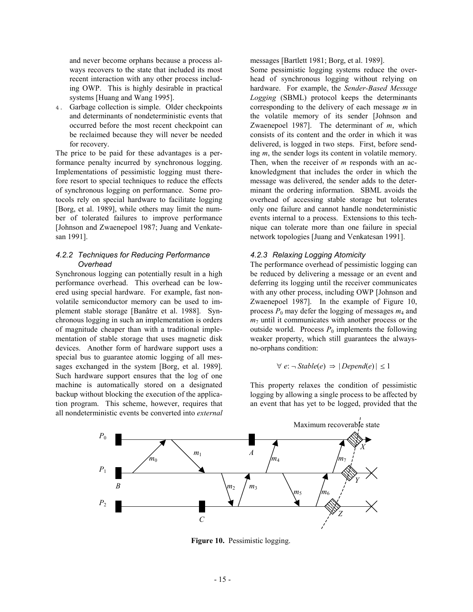and never become orphans because a process always recovers to the state that included its most recent interaction with any other process including OWP. This is highly desirable in practical systems [Huang and Wang 1995].

4. Garbage collection is simple. Older checkpoints and determinants of nondeterministic events that occurred before the most recent checkpoint can be reclaimed because they will never be needed for recovery.

The price to be paid for these advantages is a performance penalty incurred by synchronous logging. Implementations of pessimistic logging must therefore resort to special techniques to reduce the effects of synchronous logging on performance. Some protocols rely on special hardware to facilitate logging [Borg, et al. 1989], while others may limit the number of tolerated failures to improve performance [Johnson and Zwaenepoel 1987; Juang and Venkatesan 1991].

#### *4.2.2 Techniques for Reducing Performance Overhead*

Synchronous logging can potentially result in a high performance overhead. This overhead can be lowered using special hardware. For example, fast nonvolatile semiconductor memory can be used to implement stable storage [Banâtre et al. 1988]. Synchronous logging in such an implementation is orders of magnitude cheaper than with a traditional implementation of stable storage that uses magnetic disk devices. Another form of hardware support uses a special bus to guarantee atomic logging of all messages exchanged in the system [Borg, et al. 1989]. Such hardware support ensures that the log of one machine is automatically stored on a designated backup without blocking the execution of the application program. This scheme, however, requires that all nondeterministic events be converted into *external* messages [Bartlett 1981; Borg, et al. 1989].

Some pessimistic logging systems reduce the overhead of synchronous logging without relying on hardware. For example, the *Sender-Based Message Logging* (SBML) protocol keeps the determinants corresponding to the delivery of each message *m* in the volatile memory of its sender [Johnson and Zwaenepoel 1987]. The determinant of *m*, which consists of its content and the order in which it was delivered, is logged in two steps. First, before sending *m*, the sender logs its content in volatile memory. Then, when the receiver of *m* responds with an acknowledgment that includes the order in which the message was delivered, the sender adds to the determinant the ordering information. SBML avoids the overhead of accessing stable storage but tolerates only one failure and cannot handle nondeterministic events internal to a process. Extensions to this technique can tolerate more than one failure in special network topologies [Juang and Venkatesan 1991].

#### *4.2.3 Relaxing Logging Atomicity*

The performance overhead of pessimistic logging can be reduced by delivering a message or an event and deferring its logging until the receiver communicates with any other process, including OWP [Johnson and Zwaenepoel 1987]. In the example of Figure 10, process  $P_0$  may defer the logging of messages  $m_4$  and  $m_7$  until it communicates with another process or the outside world. Process  $P_0$  implements the following weaker property, which still guarantees the alwaysno-orphans condition:

$$
\forall e: \neg \mathit{Stable}(e) \Rightarrow |\mathit{Depend}(e)| \le 1
$$

This property relaxes the condition of pessimistic logging by allowing a single process to be affected by an event that has yet to be logged, provided that the



**Figure 10.** Pessimistic logging.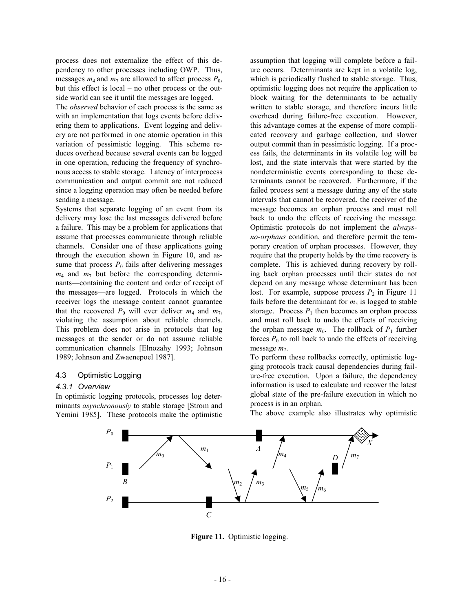process does not externalize the effect of this dependency to other processes including OWP. Thus, messages  $m_4$  and  $m_7$  are allowed to affect process  $P_0$ , but this effect is local – no other process or the outside world can see it until the messages are logged.

The *observed* behavior of each process is the same as with an implementation that logs events before delivering them to applications. Event logging and delivery are not performed in one atomic operation in this variation of pessimistic logging. This scheme reduces overhead because several events can be logged in one operation, reducing the frequency of synchronous access to stable storage. Latency of interprocess communication and output commit are not reduced since a logging operation may often be needed before sending a message.

Systems that separate logging of an event from its delivery may lose the last messages delivered before a failure. This may be a problem for applications that assume that processes communicate through reliable channels. Consider one of these applications going through the execution shown in Figure 10, and assume that process  $P_0$  fails after delivering messages  $m_4$  and  $m_7$  but before the corresponding determinants—containing the content and order of receipt of the messages—are logged. Protocols in which the receiver logs the message content cannot guarantee that the recovered  $P_0$  will ever deliver  $m_4$  and  $m_7$ , violating the assumption about reliable channels. This problem does not arise in protocols that log messages at the sender or do not assume reliable communication channels [Elnozahy 1993; Johnson 1989; Johnson and Zwaenepoel 1987].

#### 4.3 Optimistic Logging

#### *4.3.1 Overview*

In optimistic logging protocols, processes log determinants *asynchronously* to stable storage [Strom and Yemini 1985]. These protocols make the optimistic assumption that logging will complete before a failure occurs. Determinants are kept in a volatile log, which is periodically flushed to stable storage. Thus, optimistic logging does not require the application to block waiting for the determinants to be actually written to stable storage, and therefore incurs little overhead during failure-free execution. However, this advantage comes at the expense of more complicated recovery and garbage collection, and slower output commit than in pessimistic logging. If a process fails, the determinants in its volatile log will be lost, and the state intervals that were started by the nondeterministic events corresponding to these determinants cannot be recovered. Furthermore, if the failed process sent a message during any of the state intervals that cannot be recovered, the receiver of the message becomes an orphan process and must roll back to undo the effects of receiving the message. Optimistic protocols do not implement the *alwaysno-orphans* condition, and therefore permit the temporary creation of orphan processes. However, they require that the property holds by the time recovery is complete. This is achieved during recovery by rolling back orphan processes until their states do not depend on any message whose determinant has been lost. For example, suppose process  $P_2$  in Figure 11 fails before the determinant for  $m<sub>5</sub>$  is logged to stable storage. Process  $P_1$  then becomes an orphan process and must roll back to undo the effects of receiving the orphan message  $m_6$ . The rollback of  $P_1$  further forces  $P_0$  to roll back to undo the effects of receiving message  $m_7$ .

To perform these rollbacks correctly, optimistic logging protocols track causal dependencies during failure-free execution. Upon a failure, the dependency information is used to calculate and recover the latest global state of the pre-failure execution in which no process is in an orphan.

The above example also illustrates why optimistic



**Figure 11.** Optimistic logging.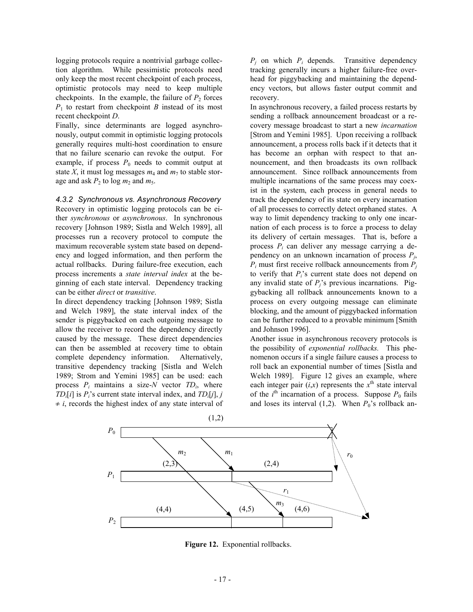logging protocols require a nontrivial garbage collection algorithm. While pessimistic protocols need only keep the most recent checkpoint of each process, optimistic protocols may need to keep multiple checkpoints. In the example, the failure of  $P_2$  forces *P*1 to restart from checkpoint *B* instead of its most recent checkpoint *D*.

Finally, since determinants are logged asynchronously, output commit in optimistic logging protocols generally requires multi-host coordination to ensure that no failure scenario can revoke the output. For example, if process  $P_0$  needs to commit output at state *X*, it must log messages  $m_4$  and  $m_7$  to stable storage and ask  $P_2$  to log  $m_2$  and  $m_5$ .

#### *4.3.2 Synchronous vs. Asynchronous Recovery*

Recovery in optimistic logging protocols can be either *synchronous* or *asynchronous*. In synchronous recovery [Johnson 1989; Sistla and Welch 1989], all processes run a recovery protocol to compute the maximum recoverable system state based on dependency and logged information, and then perform the actual rollbacks. During failure-free execution, each process increments a *state interval index* at the beginning of each state interval. Dependency tracking can be either *direct* or *transitive*.

In direct dependency tracking [Johnson 1989; Sistla and Welch 1989], the state interval index of the sender is piggybacked on each outgoing message to allow the receiver to record the dependency directly caused by the message. These direct dependencies can then be assembled at recovery time to obtain complete dependency information. Alternatively, transitive dependency tracking [Sistla and Welch 1989; Strom and Yemini 1985] can be used: each process  $P_i$  maintains a size- $N$  vector  $TD_i$ , where *TD<sub>i</sub>*[*i*] is  $P_i$ 's current state interval index, and *TD<sub>i</sub>*[*j*], *j*  $\neq i$ , records the highest index of any state interval of  $P_i$  on which  $P_i$  depends. Transitive dependency tracking generally incurs a higher failure-free overhead for piggybacking and maintaining the dependency vectors, but allows faster output commit and recovery.

In asynchronous recovery, a failed process restarts by sending a rollback announcement broadcast or a recovery message broadcast to start a new *incarnation* [Strom and Yemini 1985]. Upon receiving a rollback announcement, a process rolls back if it detects that it has become an orphan with respect to that announcement, and then broadcasts its own rollback announcement. Since rollback announcements from multiple incarnations of the same process may coexist in the system, each process in general needs to track the dependency of its state on every incarnation of all processes to correctly detect orphaned states. A way to limit dependency tracking to only one incarnation of each process is to force a process to delay its delivery of certain messages. That is, before a process *Pi* can deliver any message carrying a dependency on an unknown incarnation of process  $P_i$ ,  $P_i$  must first receive rollback announcements from  $P_i$ to verify that  $P_i$ 's current state does not depend on any invalid state of  $P_i$ 's previous incarnations. Piggybacking all rollback announcements known to a process on every outgoing message can eliminate blocking, and the amount of piggybacked information can be further reduced to a provable minimum [Smith and Johnson 1996].

Another issue in asynchronous recovery protocols is the possibility of *exponential rollbacks.* This phenomenon occurs if a single failure causes a process to roll back an exponential number of times [Sistla and Welch 1989]. Figure 12 gives an example, where each integer pair  $(i, x)$  represents the  $x<sup>th</sup>$  state interval of the  $i^{\text{th}}$  incarnation of a process. Suppose  $P_0$  fails and loses its interval  $(1,2)$ . When  $P_0$ 's rollback an-



Figure 12. Exponential rollbacks.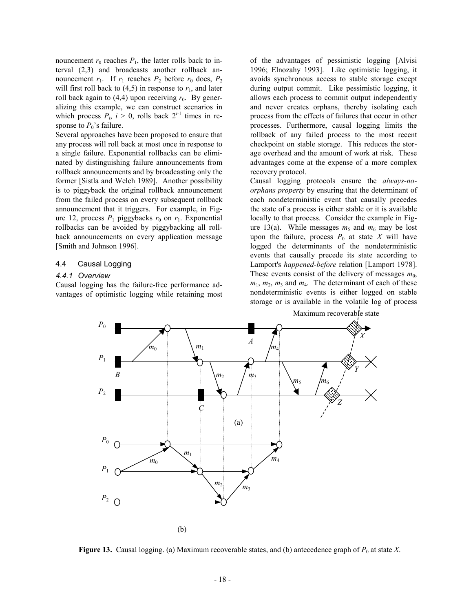nouncement  $r_0$  reaches  $P_1$ , the latter rolls back to interval (2,3) and broadcasts another rollback announcement  $r_1$ . If  $r_1$  reaches  $P_2$  before  $r_0$  does,  $P_2$ will first roll back to  $(4,5)$  in response to  $r_1$ , and later roll back again to  $(4,4)$  upon receiving  $r_0$ . By generalizing this example, we can construct scenarios in which process  $P_i$ ,  $i > 0$ , rolls back  $2^{i-1}$  times in response to  $P_0$ 's failure.

Several approaches have been proposed to ensure that any process will roll back at most once in response to a single failure. Exponential rollbacks can be eliminated by distinguishing failure announcements from rollback announcements and by broadcasting only the former [Sistla and Welch 1989]. Another possibility is to piggyback the original rollback announcement from the failed process on every subsequent rollback announcement that it triggers. For example, in Figure 12, process  $P_1$  piggybacks  $r_0$  on  $r_1$ . Exponential rollbacks can be avoided by piggybacking all rollback announcements on every application message [Smith and Johnson 1996].

#### 4.4 Causal Logging

#### *4.4.1 Overview*

Causal logging has the failure-free performance advantages of optimistic logging while retaining most of the advantages of pessimistic logging [Alvisi 1996; Elnozahy 1993]. Like optimistic logging, it avoids synchronous access to stable storage except during output commit. Like pessimistic logging, it allows each process to commit output independently and never creates orphans, thereby isolating each process from the effects of failures that occur in other processes. Furthermore, causal logging limits the rollback of any failed process to the most recent checkpoint on stable storage. This reduces the storage overhead and the amount of work at risk. These advantages come at the expense of a more complex recovery protocol.

Causal logging protocols ensure the *always-noorphans property* by ensuring that the determinant of each nondeterministic event that causally precedes the state of a process is either stable or it is available locally to that process. Consider the example in Figure 13(a). While messages  $m_5$  and  $m_6$  may be lost upon the failure, process  $P_0$  at state  $X$  will have logged the determinants of the nondeterministic events that causally precede its state according to Lamport's *happened-before* relation [Lamport 1978]. These events consist of the delivery of messages  $m_0$ ,  $m_1$ ,  $m_2$ ,  $m_3$  and  $m_4$ . The determinant of each of these nondeterministic events is either logged on stable storage or is available in the volatile log of process



**Figure 13.** Causal logging. (a) Maximum recoverable states, and (b) antecedence graph of *P*0 at state *X*.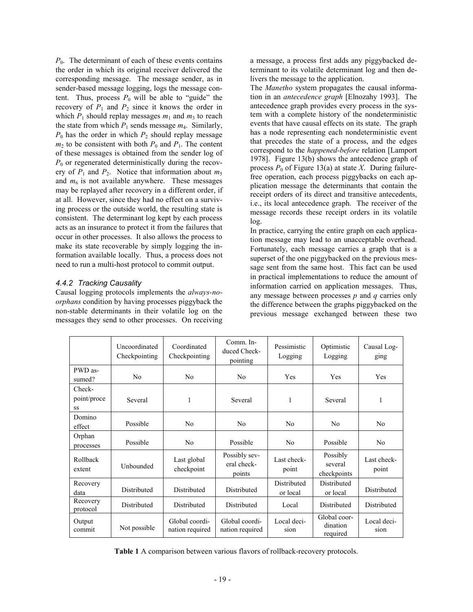$P_0$ . The determinant of each of these events contains the order in which its original receiver delivered the corresponding message. The message sender, as in sender-based message logging, logs the message content. Thus, process  $P_0$  will be able to "guide" the recovery of  $P_1$  and  $P_2$  since it knows the order in which  $P_1$  should replay messages  $m_1$  and  $m_3$  to reach the state from which  $P_1$  sends message  $m_4$ . Similarly,  $P_0$  has the order in which  $P_2$  should replay message  $m_2$  to be consistent with both  $P_0$  and  $P_1$ . The content of these messages is obtained from the sender log of  $P_0$  or regenerated deterministically during the recovery of  $P_1$  and  $P_2$ . Notice that information about  $m_5$ and  $m_6$  is not available anywhere. These messages may be replayed after recovery in a different order, if at all. However, since they had no effect on a surviving process or the outside world, the resulting state is consistent. The determinant log kept by each process acts as an insurance to protect it from the failures that occur in other processes. It also allows the process to make its state recoverable by simply logging the information available locally. Thus, a process does not need to run a multi-host protocol to commit output.

# *4.4.2 Tracking Causality*

Causal logging protocols implements the *always-noorphans* condition by having processes piggyback the non-stable determinants in their volatile log on the messages they send to other processes. On receiving a message, a process first adds any piggybacked determinant to its volatile determinant log and then delivers the message to the application.

The *Manetho* system propagates the causal information in an *antecedence graph* [Elnozahy 1993]. The antecedence graph provides every process in the system with a complete history of the nondeterministic events that have causal effects on its state. The graph has a node representing each nondeterministic event that precedes the state of a process, and the edges correspond to the *happened-before* relation [Lamport 1978]. Figure 13(b) shows the antecedence graph of process  $P_0$  of Figure 13(a) at state *X*. During failurefree operation, each process piggybacks on each application message the determinants that contain the receipt orders of its direct and transitive antecedents, i.e., its local antecedence graph. The receiver of the message records these receipt orders in its volatile log.

In practice, carrying the entire graph on each application message may lead to an unacceptable overhead. Fortunately, each message carries a graph that is a superset of the one piggybacked on the previous message sent from the same host. This fact can be used in practical implementations to reduce the amount of information carried on application messages. Thus, any message between processes *p* and *q* carries only the difference between the graphs piggybacked on the previous message exchanged between these two

|                             | Uncoordinated<br>Checkpointing | Coordinated<br>Checkpointing      | Comm. In-<br>duced Check-<br>pointing  | Pessimistic<br>Logging  | Optimistic<br>Logging                | Causal Log-<br>ging  |
|-----------------------------|--------------------------------|-----------------------------------|----------------------------------------|-------------------------|--------------------------------------|----------------------|
| PWD as-<br>sumed?           | N <sub>0</sub>                 | N <sub>0</sub>                    | N <sub>0</sub>                         | Yes                     | Yes                                  | Yes                  |
| Check-<br>point/proce<br>SS | Several                        | 1                                 | Several                                | 1                       | Several                              | 1                    |
| Domino<br>effect            | Possible                       | N <sub>0</sub>                    | N <sub>0</sub>                         | N <sub>0</sub>          | N <sub>0</sub>                       | N <sub>0</sub>       |
| Orphan<br>processes         | Possible                       | N <sub>0</sub>                    | Possible                               | N <sub>0</sub>          | Possible                             | N <sub>0</sub>       |
| Rollback<br>extent          | Unbounded                      | Last global<br>checkpoint         | Possibly sev-<br>eral check-<br>points | Last check-<br>point    | Possibly<br>several<br>checkpoints   | Last check-<br>point |
| Recovery<br>data            | Distributed                    | Distributed                       | Distributed                            | Distributed<br>or local | Distributed<br>or local              | Distributed          |
| Recovery<br>protocol        | Distributed                    | Distributed                       | Distributed                            | Local                   | Distributed                          | Distributed          |
| Output<br>commit            | Not possible                   | Global coordi-<br>nation required | Global coordi-<br>nation required      | Local deci-<br>sion     | Global coor-<br>dination<br>required | Local deci-<br>sion  |

**Table 1** A comparison between various flavors of rollback-recovery protocols.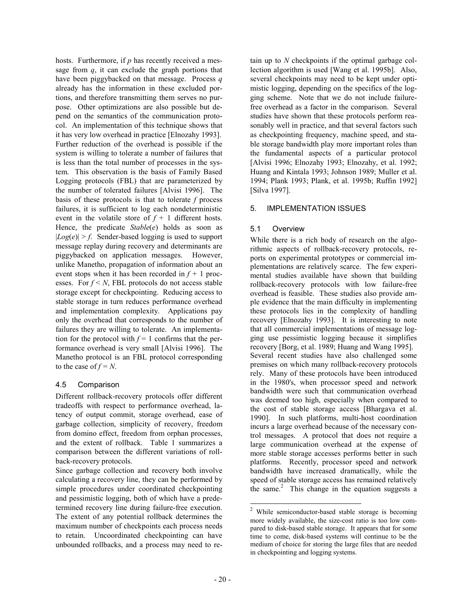<span id="page-19-0"></span>hosts. Furthermore, if *p* has recently received a message from *q*, it can exclude the graph portions that have been piggybacked on that message. Process *q* already has the information in these excluded portions, and therefore transmitting them serves no purpose. Other optimizations are also possible but depend on the semantics of the communication protocol. An implementation of this technique shows that it has very low overhead in practice [Elnozahy 1993]. Further reduction of the overhead is possible if the system is willing to tolerate a number of failures that is less than the total number of processes in the system. This observation is the basis of Family Based Logging protocols (FBL) that are parameterized by the number of tolerated failures [Alvisi 1996]. The basis of these protocols is that to tolerate *f* process failures, it is sufficient to log each nondeterministic event in the volatile store of  $f + 1$  different hosts. Hence, the predicate *Stable*(*e*) holds as soon as  $|Log(e)| > f$ . Sender-based logging is used to support message replay during recovery and determinants are piggybacked on application messages. However, unlike Manetho, propagation of information about an event stops when it has been recorded in *f +* 1 processes. For  $f \leq N$ , FBL protocols do not access stable storage except for checkpointing. Reducing access to stable storage in turn reduces performance overhead and implementation complexity. Applications pay only the overhead that corresponds to the number of failures they are willing to tolerate. An implementation for the protocol with  $f = 1$  confirms that the performance overhead is very small [Alvisi 1996]. The Manetho protocol is an FBL protocol corresponding to the case of  $f = N$ .

# 4.5 Comparison

Different rollback-recovery protocols offer different tradeoffs with respect to performance overhead, latency of output commit, storage overhead, ease of garbage collection, simplicity of recovery, freedom from domino effect, freedom from orphan processes, and the extent of rollback. Table 1 summarizes a comparison between the different variations of rollback-recovery protocols.

Since garbage collection and recovery both involve calculating a recovery line, they can be performed by simple procedures under coordinated checkpointing and pessimistic logging, both of which have a predetermined recovery line during failure-free execution. The extent of any potential rollback determines the maximum number of checkpoints each process needs to retain. Uncoordinated checkpointing can have unbounded rollbacks, and a process may need to retain up to *N* checkpoints if the optimal garbage collection algorithm is used [Wang et al. 1995b]. Also, several checkpoints may need to be kept under optimistic logging, depending on the specifics of the logging scheme. Note that we do not include failurefree overhead as a factor in the comparison. Several studies have shown that these protocols perform reasonably well in practice, and that several factors such as checkpointing frequency, machine speed, and stable storage bandwidth play more important roles than the fundamental aspects of a particular protocol [Alvisi 1996; Elnozahy 1993; Elnozahy, et al. 1992; Huang and Kintala 1993; Johnson 1989; Muller et al. 1994; Plank 1993; Plank, et al. 1995b; Ruffin 1992] [Silva 1997].

### 5. IMPLEMENTATION ISSUES

### 5.1 Overview

While there is a rich body of research on the algorithmic aspects of rollback-recovery protocols, reports on experimental prototypes or commercial implementations are relatively scarce. The few experimental studies available have shown that building rollback-recovery protocols with low failure-free overhead is feasible. These studies also provide ample evidence that the main difficulty in implementing these protocols lies in the complexity of handling recovery [Elnozahy 1993]. It is interesting to note that all commercial implementations of message logging use pessimistic logging because it simplifies recovery [Borg, et al. 1989; Huang and Wang 1995]. Several recent studies have also challenged some premises on which many rollback-recovery protocols rely. Many of these protocols have been introduced in the 1980's, when processor speed and network bandwidth were such that communication overhead was deemed too high, especially when compared to the cost of stable storage access [Bhargava et al. 1990]. In such platforms, multi-host coordination incurs a large overhead because of the necessary control messages. A protocol that does not require a large communication overhead at the expense of more stable storage accesses performs better in such platforms. Recently, processor speed and network bandwidth have increased dramatically, while the speed of stable storage access has remained relatively the same.<sup>2</sup> This change in the equation suggests a

 $\overline{a}$ 

<sup>&</sup>lt;sup>2</sup> While semiconductor-based stable storage is becoming more widely available, the size-cost ratio is too low compared to disk-based stable storage. It appears that for some time to come, disk-based systems will continue to be the medium of choice for storing the large files that are needed in checkpointing and logging systems.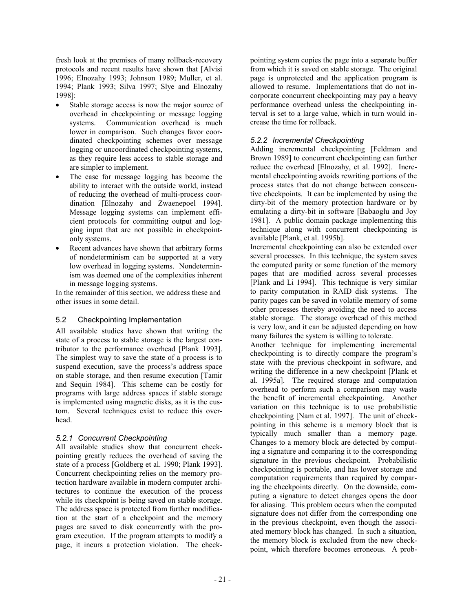fresh look at the premises of many rollback-recovery protocols and recent results have shown that [Alvisi 1996; Elnozahy 1993; Johnson 1989; Muller, et al. 1994; Plank 1993; Silva 1997; Slye and Elnozahy 1998]:

- Stable storage access is now the major source of overhead in checkpointing or message logging systems. Communication overhead is much lower in comparison. Such changes favor coordinated checkpointing schemes over message logging or uncoordinated checkpointing systems, as they require less access to stable storage and are simpler to implement.
- The case for message logging has become the ability to interact with the outside world, instead of reducing the overhead of multi-process coordination [Elnozahy and Zwaenepoel 1994]. Message logging systems can implement efficient protocols for committing output and logging input that are not possible in checkpointonly systems.
- Recent advances have shown that arbitrary forms of nondeterminism can be supported at a very low overhead in logging systems. Nondeterminism was deemed one of the complexities inherent in message logging systems.

In the remainder of this section, we address these and other issues in some detail.

### 5.2 Checkpointing Implementation

All available studies have shown that writing the state of a process to stable storage is the largest contributor to the performance overhead [Plank 1993]. The simplest way to save the state of a process is to suspend execution, save the process's address space on stable storage, and then resume execution [Tamir and Sequin 1984]. This scheme can be costly for programs with large address spaces if stable storage is implemented using magnetic disks, as it is the custom. Several techniques exist to reduce this overhead.

# *5.2.1 Concurrent Checkpointing*

All available studies show that concurrent checkpointing greatly reduces the overhead of saving the state of a process [Goldberg et al. 1990; Plank 1993]. Concurrent checkpointing relies on the memory protection hardware available in modern computer architectures to continue the execution of the process while its checkpoint is being saved on stable storage. The address space is protected from further modification at the start of a checkpoint and the memory pages are saved to disk concurrently with the program execution. If the program attempts to modify a page, it incurs a protection violation. The checkpointing system copies the page into a separate buffer from which it is saved on stable storage. The original page is unprotected and the application program is allowed to resume. Implementations that do not incorporate concurrent checkpointing may pay a heavy performance overhead unless the checkpointing interval is set to a large value, which in turn would increase the time for rollback.

# *5.2.2 Incremental Checkpointing*

Adding incremental checkpointing [Feldman and Brown 1989] to concurrent checkpointing can further reduce the overhead [Elnozahy, et al. 1992]. Incremental checkpointing avoids rewriting portions of the process states that do not change between consecutive checkpoints. It can be implemented by using the dirty-bit of the memory protection hardware or by emulating a dirty-bit in software [Babaoglu and Joy 1981]. A public domain package implementing this technique along with concurrent checkpointing is available [Plank, et al. 1995b].

Incremental checkpointing can also be extended over several processes. In this technique, the system saves the computed parity or some function of the memory pages that are modified across several processes [Plank and Li 1994]. This technique is very similar to parity computation in RAID disk systems. The parity pages can be saved in volatile memory of some other processes thereby avoiding the need to access stable storage. The storage overhead of this method is very low, and it can be adjusted depending on how many failures the system is willing to tolerate.

Another technique for implementing incremental checkpointing is to directly compare the program's state with the previous checkpoint in software, and writing the difference in a new checkpoint [Plank et al. 1995a]. The required storage and computation overhead to perform such a comparison may waste the benefit of incremental checkpointing. Another variation on this technique is to use probabilistic checkpointing [Nam et al. 1997]. The unit of checkpointing in this scheme is a memory block that is typically much smaller than a memory page. Changes to a memory block are detected by computing a signature and comparing it to the corresponding signature in the previous checkpoint. Probabilistic checkpointing is portable, and has lower storage and computation requirements than required by comparing the checkpoints directly. On the downside, computing a signature to detect changes opens the door for aliasing. This problem occurs when the computed signature does not differ from the corresponding one in the previous checkpoint, even though the associated memory block has changed. In such a situation, the memory block is excluded from the new checkpoint, which therefore becomes erroneous. A prob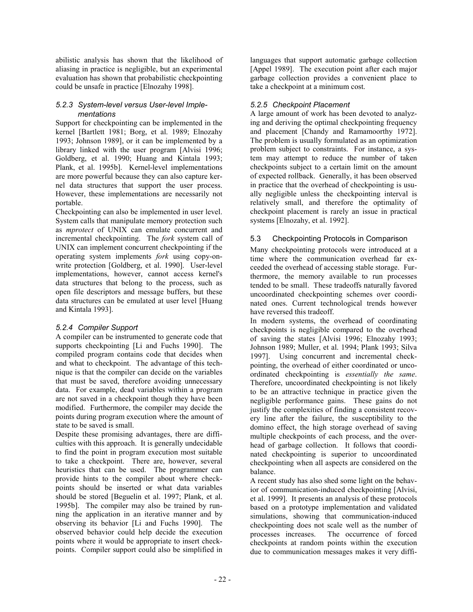abilistic analysis has shown that the likelihood of aliasing in practice is negligible, but an experimental evaluation has shown that probabilistic checkpointing could be unsafe in practice [Elnozahy 1998].

# *5.2.3 System-level versus User-level Implementations*

Support for checkpointing can be implemented in the kernel [Bartlett 1981; Borg, et al. 1989; Elnozahy 1993; Johnson 1989], or it can be implemented by a library linked with the user program [Alvisi 1996; Goldberg, et al. 1990; Huang and Kintala 1993; Plank, et al. 1995b]. Kernel-level implementations are more powerful because they can also capture kernel data structures that support the user process. However, these implementations are necessarily not portable.

Checkpointing can also be implemented in user level. System calls that manipulate memory protection such as *mprotect* of UNIX can emulate concurrent and incremental checkpointing. The *fork* system call of UNIX can implement concurrent checkpointing if the operating system implements *fork* using copy-onwrite protection [Goldberg, et al. 1990]. User-level implementations, however, cannot access kernel's data structures that belong to the process, such as open file descriptors and message buffers, but these data structures can be emulated at user level [Huang and Kintala 1993].

# *5.2.4 Compiler Support*

A compiler can be instrumented to generate code that supports checkpointing [Li and Fuchs 1990]. The compiled program contains code that decides when and what to checkpoint. The advantage of this technique is that the compiler can decide on the variables that must be saved, therefore avoiding unnecessary data. For example, dead variables within a program are not saved in a checkpoint though they have been modified. Furthermore, the compiler may decide the points during program execution where the amount of state to be saved is small.

Despite these promising advantages, there are difficulties with this approach. It is generally undecidable to find the point in program execution most suitable to take a checkpoint. There are, however, several heuristics that can be used. The programmer can provide hints to the compiler about where checkpoints should be inserted or what data variables should be stored [Beguelin et al. 1997; Plank, et al. 1995b]. The compiler may also be trained by running the application in an iterative manner and by observing its behavior [Li and Fuchs 1990]. The observed behavior could help decide the execution points where it would be appropriate to insert checkpoints. Compiler support could also be simplified in

languages that support automatic garbage collection [Appel 1989]. The execution point after each major garbage collection provides a convenient place to take a checkpoint at a minimum cost.

# *5.2.5 Checkpoint Placement*

A large amount of work has been devoted to analyzing and deriving the optimal checkpointing frequency and placement [Chandy and Ramamoorthy 1972]. The problem is usually formulated as an optimization problem subject to constraints. For instance, a system may attempt to reduce the number of taken checkpoints subject to a certain limit on the amount of expected rollback. Generally, it has been observed in practice that the overhead of checkpointing is usually negligible unless the checkpointing interval is relatively small, and therefore the optimality of checkpoint placement is rarely an issue in practical systems [Elnozahy, et al. 1992].

# 5.3 Checkpointing Protocols in Comparison

Many checkpointing protocols were introduced at a time where the communication overhead far exceeded the overhead of accessing stable storage. Furthermore, the memory available to run processes tended to be small. These tradeoffs naturally favored uncoordinated checkpointing schemes over coordinated ones. Current technological trends however have reversed this tradeoff.

In modern systems, the overhead of coordinating checkpoints is negligible compared to the overhead of saving the states [Alvisi 1996; Elnozahy 1993; Johnson 1989; Muller, et al. 1994; Plank 1993; Silva 1997]. Using concurrent and incremental checkpointing, the overhead of either coordinated or uncoordinated checkpointing is *essentially the same*. Therefore, uncoordinated checkpointing is not likely to be an attractive technique in practice given the negligible performance gains. These gains do not justify the complexities of finding a consistent recovery line after the failure, the susceptibility to the domino effect, the high storage overhead of saving multiple checkpoints of each process, and the overhead of garbage collection. It follows that coordinated checkpointing is superior to uncoordinated checkpointing when all aspects are considered on the balance.

A recent study has also shed some light on the behavior of communication-induced checkpointing [Alvisi, et al. 1999]. It presents an analysis of these protocols based on a prototype implementation and validated simulations, showing that communication-induced checkpointing does not scale well as the number of processes increases. The occurrence of forced checkpoints at random points within the execution due to communication messages makes it very diffi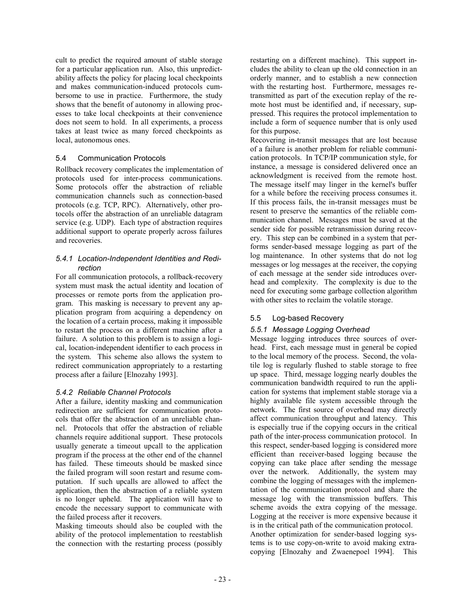<span id="page-22-0"></span>cult to predict the required amount of stable storage for a particular application run. Also, this unpredictability affects the policy for placing local checkpoints and makes communication-induced protocols cumbersome to use in practice. Furthermore, the study shows that the benefit of autonomy in allowing processes to take local checkpoints at their convenience does not seem to hold. In all experiments, a process takes at least twice as many forced checkpoints as local, autonomous ones.

# 5.4 Communication Protocols

Rollback recovery complicates the implementation of protocols used for inter-process communications. Some protocols offer the abstraction of reliable communication channels such as connection-based protocols (e.g. TCP, RPC). Alternatively, other protocols offer the abstraction of an unreliable datagram service (e.g. UDP). Each type of abstraction requires additional support to operate properly across failures and recoveries.

### *5.4.1 Location-Independent Identities and Redirection*

For all communication protocols, a rollback-recovery system must mask the actual identity and location of processes or remote ports from the application program. This masking is necessary to prevent any application program from acquiring a dependency on the location of a certain process, making it impossible to restart the process on a different machine after a failure. A solution to this problem is to assign a logical, location-independent identifier to each process in the system. This scheme also allows the system to redirect communication appropriately to a restarting process after a failure [Elnozahy 1993].

# *5.4.2 Reliable Channel Protocols*

After a failure, identity masking and communication redirection are sufficient for communication protocols that offer the abstraction of an unreliable channel. Protocols that offer the abstraction of reliable channels require additional support. These protocols usually generate a timeout upcall to the application program if the process at the other end of the channel has failed. These timeouts should be masked since the failed program will soon restart and resume computation. If such upcalls are allowed to affect the application, then the abstraction of a reliable system is no longer upheld. The application will have to encode the necessary support to communicate with the failed process after it recovers.

Masking timeouts should also be coupled with the ability of the protocol implementation to reestablish the connection with the restarting process (possibly restarting on a different machine). This support includes the ability to clean up the old connection in an orderly manner, and to establish a new connection with the restarting host. Furthermore, messages retransmitted as part of the execution replay of the remote host must be identified and, if necessary, suppressed. This requires the protocol implementation to include a form of sequence number that is only used for this purpose.

Recovering in-transit messages that are lost because of a failure is another problem for reliable communication protocols. In TCP/IP communication style, for instance, a message is considered delivered once an acknowledgment is received from the remote host. The message itself may linger in the kernel's buffer for a while before the receiving process consumes it. If this process fails, the in-transit messages must be resent to preserve the semantics of the reliable communication channel. Messages must be saved at the sender side for possible retransmission during recovery. This step can be combined in a system that performs sender-based message logging as part of the log maintenance. In other systems that do not log messages or log messages at the receiver, the copying of each message at the sender side introduces overhead and complexity. The complexity is due to the need for executing some garbage collection algorithm with other sites to reclaim the volatile storage.

# 5.5 Log-based Recovery

### *5.5.1 Message Logging Overhead*

Message logging introduces three sources of overhead. First, each message must in general be copied to the local memory of the process. Second, the volatile log is regularly flushed to stable storage to free up space. Third, message logging nearly doubles the communication bandwidth required to run the application for systems that implement stable storage via a highly available file system accessible through the network. The first source of overhead may directly affect communication throughput and latency. This is especially true if the copying occurs in the critical path of the inter-process communication protocol. In this respect, sender-based logging is considered more efficient than receiver-based logging because the copying can take place after sending the message over the network. Additionally, the system may combine the logging of messages with the implementation of the communication protocol and share the message log with the transmission buffers. This scheme avoids the extra copying of the message. Logging at the receiver is more expensive because it is in the critical path of the communication protocol. Another optimization for sender-based logging systems is to use copy-on-write to avoid making extracopying [Elnozahy and Zwaenepoel 1994]. This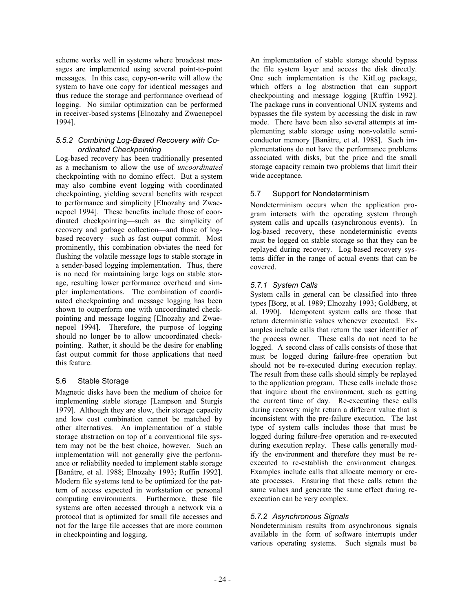<span id="page-23-0"></span>scheme works well in systems where broadcast messages are implemented using several point-to-point messages. In this case, copy-on-write will allow the system to have one copy for identical messages and thus reduce the storage and performance overhead of logging. No similar optimization can be performed in receiver-based systems [Elnozahy and Zwaenepoel 1994].

### *5.5.2 Combining Log-Based Recovery with Coordinated Checkpointing*

Log-based recovery has been traditionally presented as a mechanism to allow the use of *uncoordinated* checkpointing with no domino effect. But a system may also combine event logging with coordinated checkpointing, yielding several benefits with respect to performance and simplicity [Elnozahy and Zwaenepoel 1994]. These benefits include those of coordinated checkpointing—such as the simplicity of recovery and garbage collection—and those of logbased recovery—such as fast output commit. Most prominently, this combination obviates the need for flushing the volatile message logs to stable storage in a sender-based logging implementation. Thus, there is no need for maintaining large logs on stable storage, resulting lower performance overhead and simpler implementations. The combination of coordinated checkpointing and message logging has been shown to outperform one with uncoordinated checkpointing and message logging [Elnozahy and Zwaenepoel 1994]. Therefore, the purpose of logging should no longer be to allow uncoordinated checkpointing. Rather, it should be the desire for enabling fast output commit for those applications that need this feature.

# 5.6 Stable Storage

Magnetic disks have been the medium of choice for implementing stable storage [Lampson and Sturgis 1979]. Although they are slow, their storage capacity and low cost combination cannot be matched by other alternatives. An implementation of a stable storage abstraction on top of a conventional file system may not be the best choice, however. Such an implementation will not generally give the performance or reliability needed to implement stable storage [Banâtre, et al. 1988; Elnozahy 1993; Ruffin 1992]. Modern file systems tend to be optimized for the pattern of access expected in workstation or personal computing environments. Furthermore, these file systems are often accessed through a network via a protocol that is optimized for small file accesses and not for the large file accesses that are more common in checkpointing and logging.

An implementation of stable storage should bypass the file system layer and access the disk directly. One such implementation is the KitLog package, which offers a log abstraction that can support checkpointing and message logging [Ruffin 1992]. The package runs in conventional UNIX systems and bypasses the file system by accessing the disk in raw mode. There have been also several attempts at implementing stable storage using non-volatile semiconductor memory [Banâtre, et al. 1988]. Such implementations do not have the performance problems associated with disks, but the price and the small storage capacity remain two problems that limit their wide acceptance.

# 5.7 Support for Nondeterminism

Nondeterminism occurs when the application program interacts with the operating system through system calls and upcalls (asynchronous events). In log-based recovery, these nondeterministic events must be logged on stable storage so that they can be replayed during recovery. Log-based recovery systems differ in the range of actual events that can be covered.

### *5.7.1 System Calls*

System calls in general can be classified into three types [Borg, et al. 1989; Elnozahy 1993; Goldberg, et al. 1990]. Idempotent system calls are those that return deterministic values whenever executed. Examples include calls that return the user identifier of the process owner. These calls do not need to be logged. A second class of calls consists of those that must be logged during failure-free operation but should not be re-executed during execution replay. The result from these calls should simply be replayed to the application program. These calls include those that inquire about the environment, such as getting the current time of day. Re-executing these calls during recovery might return a different value that is inconsistent with the pre-failure execution. The last type of system calls includes those that must be logged during failure-free operation and re-executed during execution replay. These calls generally modify the environment and therefore they must be reexecuted to re-establish the environment changes. Examples include calls that allocate memory or create processes. Ensuring that these calls return the same values and generate the same effect during reexecution can be very complex.

# *5.7.2 Asynchronous Signals*

Nondeterminism results from asynchronous signals available in the form of software interrupts under various operating systems. Such signals must be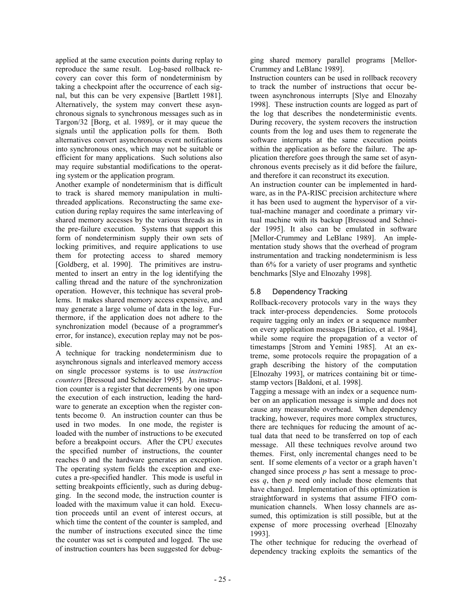applied at the same execution points during replay to reproduce the same result. Log-based rollback recovery can cover this form of nondeterminism by taking a checkpoint after the occurrence of each signal, but this can be very expensive [Bartlett 1981]. Alternatively, the system may convert these asynchronous signals to synchronous messages such as in Targon/32 [Borg, et al. 1989], or it may queue the signals until the application polls for them. Both alternatives convert asynchronous event notifications into synchronous ones, which may not be suitable or efficient for many applications. Such solutions also may require substantial modifications to the operating system or the application program.

Another example of nondeterminism that is difficult to track is shared memory manipulation in multithreaded applications. Reconstructing the same execution during replay requires the same interleaving of shared memory accesses by the various threads as in the pre-failure execution. Systems that support this form of nondeterminism supply their own sets of locking primitives, and require applications to use them for protecting access to shared memory [Goldberg, et al. 1990]. The primitives are instrumented to insert an entry in the log identifying the calling thread and the nature of the synchronization operation. However, this technique has several problems. It makes shared memory access expensive, and may generate a large volume of data in the log. Furthermore, if the application does not adhere to the synchronization model (because of a programmer's error, for instance), execution replay may not be possible.

A technique for tracking nondeterminism due to asynchronous signals and interleaved memory access on single processor systems is to use *instruction counters* [Bressoud and Schneider 1995]. An instruction counter is a register that decrements by one upon the execution of each instruction, leading the hardware to generate an exception when the register contents become 0. An instruction counter can thus be used in two modes. In one mode, the register is loaded with the number of instructions to be executed before a breakpoint occurs. After the CPU executes the specified number of instructions, the counter reaches 0 and the hardware generates an exception. The operating system fields the exception and executes a pre-specified handler. This mode is useful in setting breakpoints efficiently, such as during debugging. In the second mode, the instruction counter is loaded with the maximum value it can hold. Execution proceeds until an event of interest occurs, at which time the content of the counter is sampled, and the number of instructions executed since the time the counter was set is computed and logged. The use of instruction counters has been suggested for debugging shared memory parallel programs [Mellor-Crummey and LeBlanc 1989].

Instruction counters can be used in rollback recovery to track the number of instructions that occur between asynchronous interrupts [Slye and Elnozahy 1998]. These instruction counts are logged as part of the log that describes the nondeterministic events. During recovery, the system recovers the instruction counts from the log and uses them to regenerate the software interrupts at the same execution points within the application as before the failure. The application therefore goes through the same set of asynchronous events precisely as it did before the failure, and therefore it can reconstruct its execution.

An instruction counter can be implemented in hardware, as in the PA-RISC precision architecture where it has been used to augment the hypervisor of a virtual-machine manager and coordinate a primary virtual machine with its backup [Bressoud and Schneider 1995]. It also can be emulated in software [Mellor-Crummey and LeBlanc 1989]. An implementation study shows that the overhead of program instrumentation and tracking nondeterminism is less than 6% for a variety of user programs and synthetic benchmarks [Slye and Elnozahy 1998].

# 5.8 Dependency Tracking

Rollback-recovery protocols vary in the ways they track inter-process dependencies. Some protocols require tagging only an index or a sequence number on every application messages [Briatico, et al. 1984], while some require the propagation of a vector of timestamps [Strom and Yemini 1985]. At an extreme, some protocols require the propagation of a graph describing the history of the computation [Elnozahy 1993], or matrices containing bit or timestamp vectors [Baldoni, et al. 1998].

Tagging a message with an index or a sequence number on an application message is simple and does not cause any measurable overhead. When dependency tracking, however, requires more complex structures, there are techniques for reducing the amount of actual data that need to be transferred on top of each message. All these techniques revolve around two themes. First, only incremental changes need to be sent. If some elements of a vector or a graph haven't changed since process *p* has sent a message to process *q*, then *p* need only include those elements that have changed. Implementation of this optimization is straightforward in systems that assume FIFO communication channels. When lossy channels are assumed, this optimization is still possible, but at the expense of more processing overhead [Elnozahy 1993].

The other technique for reducing the overhead of dependency tracking exploits the semantics of the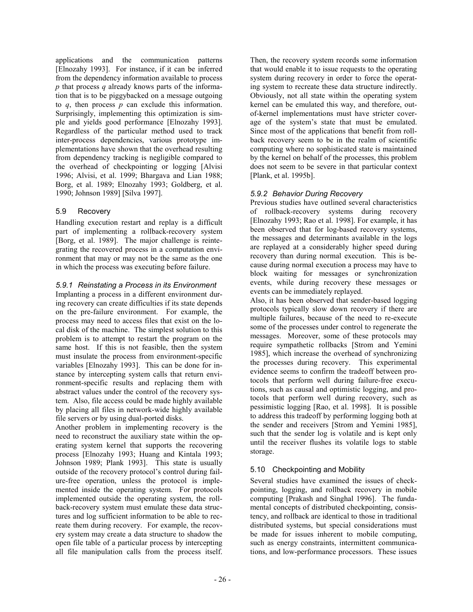applications and the communication patterns [Elnozahy 1993]. For instance, if it can be inferred from the dependency information available to process *p* that process *q* already knows parts of the information that is to be piggybacked on a message outgoing to *q*, then process *p* can exclude this information. Surprisingly, implementing this optimization is simple and yields good performance [Elnozahy 1993]. Regardless of the particular method used to track inter-process dependencies, various prototype implementations have shown that the overhead resulting from dependency tracking is negligible compared to the overhead of checkpointing or logging [Alvisi 1996; Alvisi, et al. 1999; Bhargava and Lian 1988; Borg, et al. 1989; Elnozahy 1993; Goldberg, et al. 1990; Johnson 1989] [Silva 1997].

# 5.9 Recovery

Handling execution restart and replay is a difficult part of implementing a rollback-recovery system [Borg, et al. 1989]. The major challenge is reintegrating the recovered process in a computation environment that may or may not be the same as the one in which the process was executing before failure.

### *5.9.1 Reinstating a Process in its Environment*

Implanting a process in a different environment during recovery can create difficulties if its state depends on the pre-failure environment. For example, the process may need to access files that exist on the local disk of the machine. The simplest solution to this problem is to attempt to restart the program on the same host. If this is not feasible, then the system must insulate the process from environment-specific variables [Elnozahy 1993]. This can be done for instance by intercepting system calls that return environment-specific results and replacing them with abstract values under the control of the recovery system. Also, file access could be made highly available by placing all files in network-wide highly available file servers or by using dual-ported disks.

Another problem in implementing recovery is the need to reconstruct the auxiliary state within the operating system kernel that supports the recovering process [Elnozahy 1993; Huang and Kintala 1993; Johnson 1989; Plank 1993]. This state is usually outside of the recovery protocol's control during failure-free operation, unless the protocol is implemented inside the operating system. For protocols implemented outside the operating system, the rollback-recovery system must emulate these data structures and log sufficient information to be able to recreate them during recovery. For example, the recovery system may create a data structure to shadow the open file table of a particular process by intercepting all file manipulation calls from the process itself. Then, the recovery system records some information that would enable it to issue requests to the operating system during recovery in order to force the operating system to recreate these data structure indirectly. Obviously, not all state within the operating system kernel can be emulated this way, and therefore, outof-kernel implementations must have stricter coverage of the system's state that must be emulated. Since most of the applications that benefit from rollback recovery seem to be in the realm of scientific computing where no sophisticated state is maintained by the kernel on behalf of the processes, this problem does not seem to be severe in that particular context [Plank, et al. 1995b].

# *5.9.2 Behavior During Recovery*

Previous studies have outlined several characteristics of rollback-recovery systems during recovery [Elnozahy 1993; Rao et al. 1998]. For example, it has been observed that for log-based recovery systems, the messages and determinants available in the logs are replayed at a considerably higher speed during recovery than during normal execution. This is because during normal execution a process may have to block waiting for messages or synchronization events, while during recovery these messages or events can be immediately replayed.

Also, it has been observed that sender-based logging protocols typically slow down recovery if there are multiple failures, because of the need to re-execute some of the processes under control to regenerate the messages. Moreover, some of these protocols may require sympathetic rollbacks [Strom and Yemini 1985], which increase the overhead of synchronizing the processes during recovery. This experimental evidence seems to confirm the tradeoff between protocols that perform well during failure-free executions, such as causal and optimistic logging, and protocols that perform well during recovery, such as pessimistic logging [Rao, et al. 1998]. It is possible to address this tradeoff by performing logging both at the sender and receivers [Strom and Yemini 1985], such that the sender log is volatile and is kept only until the receiver flushes its volatile logs to stable storage.

# 5.10 Checkpointing and Mobility

Several studies have examined the issues of checkpointing, logging, and rollback recovery in mobile computing [Prakash and Singhal 1996]. The fundamental concepts of distributed checkpointing, consistency, and rollback are identical to those in traditional distributed systems, but special considerations must be made for issues inherent to mobile computing, such as energy constraints, intermittent communications, and low-performance processors. These issues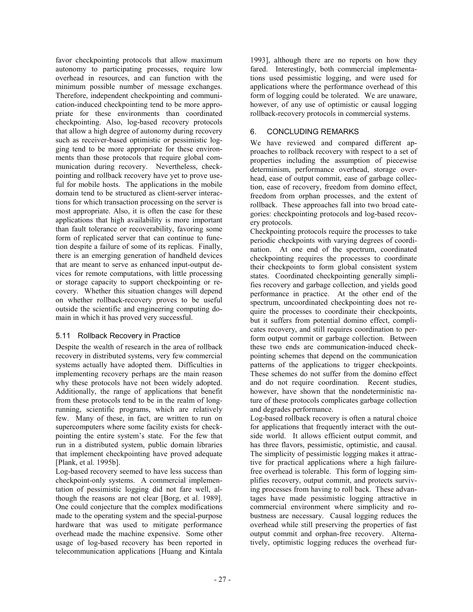<span id="page-26-0"></span>favor checkpointing protocols that allow maximum autonomy to participating processes, require low overhead in resources, and can function with the minimum possible number of message exchanges. Therefore, independent checkpointing and communication-induced checkpointing tend to be more appropriate for these environments than coordinated checkpointing. Also, log-based recovery protocols that allow a high degree of autonomy during recovery such as receiver-based optimistic or pessimistic logging tend to be more appropriate for these environments than those protocols that require global communication during recovery. Nevertheless, checkpointing and rollback recovery have yet to prove useful for mobile hosts. The applications in the mobile domain tend to be structured as client-server interactions for which transaction processing on the server is most appropriate. Also, it is often the case for these applications that high availability is more important than fault tolerance or recoverability, favoring some form of replicated server that can continue to function despite a failure of some of its replicas. Finally, there is an emerging generation of handheld devices that are meant to serve as enhanced input-output devices for remote computations, with little processing or storage capacity to support checkpointing or recovery. Whether this situation changes will depend on whether rollback-recovery proves to be useful outside the scientific and engineering computing domain in which it has proved very successful.

# 5.11 Rollback Recovery in Practice

Despite the wealth of research in the area of rollback recovery in distributed systems, very few commercial systems actually have adopted them. Difficulties in implementing recovery perhaps are the main reason why these protocols have not been widely adopted. Additionally, the range of applications that benefit from these protocols tend to be in the realm of longrunning, scientific programs, which are relatively few. Many of these, in fact, are written to run on supercomputers where some facility exists for checkpointing the entire system's state. For the few that run in a distributed system, public domain libraries that implement checkpointing have proved adequate [Plank, et al. 1995b].

Log-based recovery seemed to have less success than checkpoint-only systems. A commercial implementation of pessimistic logging did not fare well, although the reasons are not clear [Borg, et al. 1989]. One could conjecture that the complex modifications made to the operating system and the special-purpose hardware that was used to mitigate performance overhead made the machine expensive. Some other usage of log-based recovery has been reported in telecommunication applications [Huang and Kintala 1993], although there are no reports on how they fared. Interestingly, both commercial implementations used pessimistic logging, and were used for applications where the performance overhead of this form of logging could be tolerated. We are unaware, however, of any use of optimistic or causal logging rollback-recovery protocols in commercial systems.

# 6. CONCLUDING REMARKS

We have reviewed and compared different approaches to rollback recovery with respect to a set of properties including the assumption of piecewise determinism, performance overhead, storage overhead, ease of output commit, ease of garbage collection, ease of recovery, freedom from domino effect, freedom from orphan processes, and the extent of rollback. These approaches fall into two broad categories: checkpointing protocols and log-based recovery protocols.

Checkpointing protocols require the processes to take periodic checkpoints with varying degrees of coordination. At one end of the spectrum, coordinated checkpointing requires the processes to coordinate their checkpoints to form global consistent system states. Coordinated checkpointing generally simplifies recovery and garbage collection, and yields good performance in practice. At the other end of the spectrum, uncoordinated checkpointing does not require the processes to coordinate their checkpoints, but it suffers from potential domino effect, complicates recovery, and still requires coordination to perform output commit or garbage collection. Between these two ends are communication-induced checkpointing schemes that depend on the communication patterns of the applications to trigger checkpoints. These schemes do not suffer from the domino effect and do not require coordination. Recent studies, however, have shown that the nondeterministic nature of these protocols complicates garbage collection and degrades performance.

Log-based rollback recovery is often a natural choice for applications that frequently interact with the outside world. It allows efficient output commit, and has three flavors, pessimistic, optimistic, and causal. The simplicity of pessimistic logging makes it attractive for practical applications where a high failurefree overhead is tolerable. This form of logging simplifies recovery, output commit, and protects surviving processes from having to roll back. These advantages have made pessimistic logging attractive in commercial environment where simplicity and robustness are necessary. Causal logging reduces the overhead while still preserving the properties of fast output commit and orphan-free recovery. Alternatively, optimistic logging reduces the overhead fur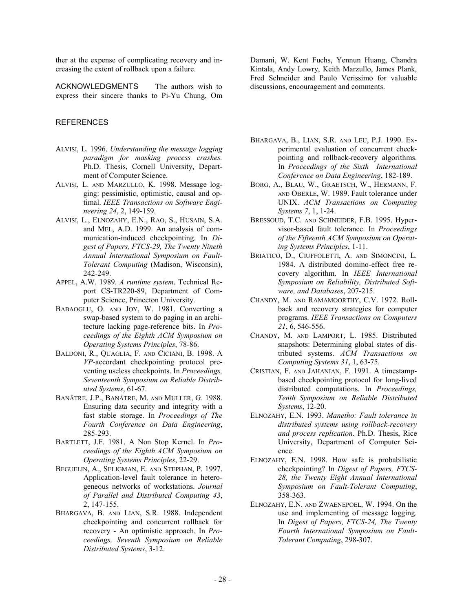ther at the expense of complicating recovery and increasing the extent of rollback upon a failure.

ACKNOWLEDGMENTS The authors wish to express their sincere thanks to Pi-Yu Chung, Om

#### **REFERENCES**

- ALVISI, L. 1996. *Understanding the message logging paradigm for masking process crashes.* Ph.D. Thesis, Cornell University, Department of Computer Science.
- ALVISI, L. AND MARZULLO, K. 1998. Message logging: pessimistic, optimistic, causal and optimal. *IEEE Transactions on Software Engineering 24*, 2, 149-159.
- ALVISI, L., ELNOZAHY, E.N., RAO, S., HUSAIN, S.A. and MEL, A.D. 1999. An analysis of communication-induced checkpointing. In *Digest of Papers, FTCS-29, The Twenty Nineth Annual International Symposium on Fault-Tolerant Computing* (Madison, Wisconsin), 242-249.
- APPEL, A.W. 1989. *A runtime system*. Technical Report CS-TR220-89, Department of Computer Science, Princeton University.
- BABAOGLU, O. AND JOY, W. 1981. Converting a swap-based system to do paging in an architecture lacking page-reference bits. In *Proceedings of the Eighth ACM Symposium on Operating Systems Principles*, 78-86.
- BALDONI, R., QUAGLIA, F. AND CICIANI, B. 1998. A *VP-*accordant checkpointing protocol preventing useless checkpoints. In *Proceedings, Seventeenth Symposium on Reliable Distributed Systems*, 61-67.
- BANÂTRE, J.P., BANÂTRE, M. AND MULLER, G. 1988. Ensuring data security and integrity with a fast stable storage. In *Proceedings of The Fourth Conference on Data Engineering*, 285-293.
- BARTLETT, J.F. 1981. A Non Stop Kernel. In *Proceedings of the Eighth ACM Symposium on Operating Systems Principles*, 22-29.
- BEGUELIN, A., SELIGMAN, E. AND STEPHAN, P. 1997. Application-level fault tolerance in heterogeneous networks of workstations. *Journal of Parallel and Distributed Computing 43*, 2, 147-155.
- BHARGAVA, B. AND LIAN, S.R. 1988. Independent checkpointing and concurrent rollback for recovery - An optimistic approach. In *Proceedings, Seventh Symposium on Reliable Distributed Systems*, 3-12.

Damani, W. Kent Fuchs, Yennun Huang, Chandra Kintala, Andy Lowry, Keith Marzullo, James Plank, Fred Schneider and Paulo Verissimo for valuable discussions, encouragement and comments.

- BHARGAVA, B., LIAN, S.R. AND LEU, P.J. 1990. Experimental evaluation of concurrent checkpointing and rollback-recovery algorithms. In *Proceedings of the Sixth International Conference on Data Engineering*, 182-189.
- BORG, A., BLAU, W., GRAETSCH, W., HERMANN, F. AND OBERLE, W. 1989. Fault tolerance under UNIX. *ACM Transactions on Computing Systems 7*, 1, 1-24.
- BRESSOUD, T.C. AND SCHNEIDER, F.B. 1995. Hypervisor-based fault tolerance. In *Proceedings of the Fifteenth ACM Symposium on Operating Systems Principles*, 1-11.
- BRIATICO, D., CIUFFOLETTI, A. AND SIMONCINI, L. 1984. A distributed domino-effect free recovery algorithm. In *IEEE International Symposium on Reliability, Distributed Software, and Databases*, 207-215.
- CHANDY, M. AND RAMAMOORTHY, C.V. 1972. Rollback and recovery strategies for computer programs. *IEEE Transactions on Computers 21*, 6, 546-556.
- CHANDY, M. AND LAMPORT, L. 1985. Distributed snapshots: Determining global states of distributed systems. *ACM Transactions on Computing Systems 31*, 1, 63-75.
- CRISTIAN, F. AND JAHANIAN, F. 1991. A timestampbased checkpointing protocol for long-lived distributed computations. In *Proceedings, Tenth Symposium on Reliable Distributed Systems*, 12-20.
- ELNOZAHY, E.N. 1993. *Manetho: Fault tolerance in distributed systems using rollback-recovery and process replication.* Ph.D. Thesis, Rice University, Department of Computer Science.
- ELNOZAHY, E.N. 1998. How safe is probabilistic checkpointing? In *Digest of Papers, FTCS-28, the Twenty Eight Annual International Symposium on Fault-Tolerant Computing*, 358-363.
- ELNOZAHY, E.N. AND ZWAENEPOEL, W. 1994. On the use and implementing of message logging. In *Digest of Papers, FTCS-24, The Twenty Fourth International Symposium on Fault-Tolerant Computing*, 298-307.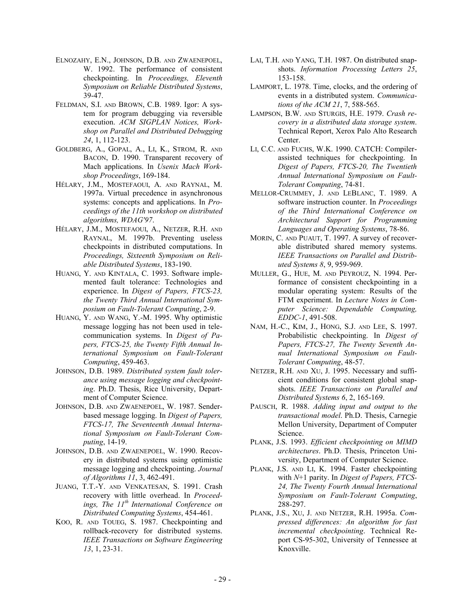- ELNOZAHY, E.N., JOHNSON, D.B. AND ZWAENEPOEL, W. 1992. The performance of consistent checkpointing. In *Proceedings, Eleventh Symposium on Reliable Distributed Systems*, 39-47.
- FELDMAN, S.I. AND BROWN, C.B. 1989. Igor: A system for program debugging via reversible execution. *ACM SIGPLAN Notices, Workshop on Parallel and Distributed Debugging 24*, 1, 112-123.
- GOLDBERG, A., GOPAL, A., LI, K., STROM, R. AND BACON, D. 1990. Transparent recovery of Mach applications. In *Usenix Mach Workshop Proceedings*, 169-184.
- HÉLARY, J.M., MOSTEFAOUI, A. AND RAYNAL, M. 1997a. Virtual precedence in asynchronous systems: concepts and applications. In *Proceedings of the 11th workshop on distributed algorithms, WDAG'97*.
- HÉLARY, J.M., MOSTEFAOUI, A., NETZER, R.H. AND RAYNAL, M. 1997b. Preventing useless checkpoints in distributed computations. In *Proceedings, Sixteenth Symposium on Reliable Distributed Systems*, 183-190.
- HUANG, Y. AND KINTALA, C. 1993. Software implemented fault tolerance: Technologies and experience. In *Digest of Papers, FTCS-23, the Twenty Third Annual International Symposium on Fault-Tolerant Computing*, 2-9.
- HUANG, Y. AND WANG, Y.-M. 1995. Why optimistic message logging has not been used in telecommunication systems. In *Digest of Papers, FTCS-25, the Twenty Fifth Annual International Symposium on Fault-Tolerant Computing*, 459-463.
- JOHNSON, D.B. 1989. *Distributed system fault tolerance using message logging and checkpointing*. Ph.D. Thesis, Rice University, Department of Computer Science.
- JOHNSON, D.B. AND ZWAENEPOEL, W. 1987. Senderbased message logging. In *Digest of Papers, FTCS-17, The Seventeenth Annual International Symposium on Fault-Tolerant Computing*, 14-19.
- JOHNSON, D.B. AND ZWAENEPOEL, W. 1990. Recovery in distributed systems using optimistic message logging and checkpointing. *Journal of Algorithms 11*, 3, 462-491.
- JUANG, T.T.-Y. AND VENKATESAN, S. 1991. Crash recovery with little overhead. In *Proceedings, The 11th International Conference on Distributed Computing Systems*, 454-461.
- KOO, R. AND TOUEG, S. 1987. Checkpointing and rollback-recovery for distributed systems. *IEEE Transactions on Software Engineering 13*, 1, 23-31.
- LAI, T.H. AND YANG, T.H. 1987. On distributed snapshots. *Information Processing Letters 25*, 153-158.
- LAMPORT, L. 1978. Time, clocks, and the ordering of events in a distributed system. *Communications of the ACM 21*, 7, 588-565.
- LAMPSON, B.W. AND STURGIS, H.E. 1979. *Crash recovery in a distributed data storage system*. Technical Report, Xerox Palo Alto Research Center.
- LI, C.C. AND FUCHS, W.K. 1990. CATCH: Compilerassisted techniques for checkpointing. In *Digest of Papers, FTCS-20, The Twentieth Annual International Symposium on Fault-Tolerant Computing*, 74-81.
- MELLOR-CRUMMEY, J. AND LEBLANC, T. 1989. A software instruction counter. In *Proceedings of the Third International Conference on Architectural Support for Programming Languages and Operating Systems*, 78-86.
- MORIN, C. AND PUAUT, T. 1997. A survey of recoverable distributed shared memory systems. *IEEE Transactions on Parallel and Distributed Systems 8*, 9, 959-969.
- MULLER, G., HUE, M. AND PEYROUZ, N. 1994. Performance of consistent checkpointing in a modular operating system: Results of the FTM experiment. In *Lecture Notes in Computer Science: Dependable Computing, EDDC-1*, 491-508.
- NAM, H.-C., KIM, J., HONG, S.J. AND LEE, S. 1997. Probabilistic checkpointing. In *Digest of Papers, FTCS-27, The Twenty Seventh Annual International Symposium on Fault-Tolerant Computing*, 48-57.
- NETZER, R.H. AND XU, J. 1995. Necessary and sufficient conditions for consistent global snapshots. *IEEE Transactions on Parallel and Distributed Systems 6*, 2, 165-169.
- PAUSCH, R. 1988. *Adding input and output to the transactional model*. Ph.D. Thesis, Carnegie Mellon University, Department of Computer Science.
- PLANK, J.S. 1993. *Efficient checkpointing on MIMD architectures*. Ph.D. Thesis, Princeton University, Department of Computer Science.
- PLANK, J.S. AND LI, K. 1994. Faster checkpointing with *N*+1 parity. In *Digest of Papers, FTCS-24, The Twenty Fourth Annual International Symposium on Fault-Tolerant Computing*, 288-297.
- PLANK, J.S., XU, J. AND NETZER, R.H. 1995a. *Compressed differences: An algorithm for fast incremental checkpointing*. Technical Report CS-95-302, University of Tennessee at Knoxville.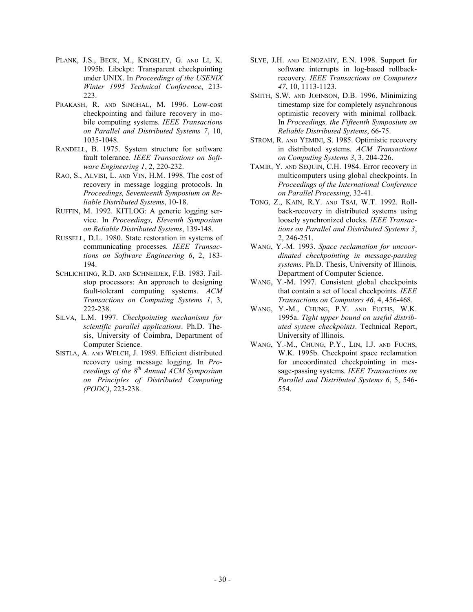- PLANK, J.S., BECK, M., KINGSLEY, G. AND LI, K. 1995b. Libckpt: Transparent checkpointing under UNIX. In *Proceedings of the USENIX Winter 1995 Technical Conference*, 213- 223.
- PRAKASH, R. AND SINGHAL, M. 1996. Low-cost checkpointing and failure recovery in mobile computing systems. *IEEE Transactions on Parallel and Distributed Systems 7*, 10, 1035-1048.
- RANDELL, B. 1975. System structure for software fault tolerance. *IEEE Transactions on Software Engineering 1*, 2, 220-232.
- RAO, S., ALVISI, L. AND VIN, H.M. 1998. The cost of recovery in message logging protocols. In *Proceedings, Seventeenth Symposium on Reliable Distributed Systems*, 10-18.
- RUFFIN, M. 1992. KITLOG: A generic logging service. In *Proceedings, Eleventh Symposium on Reliable Distributed Systems*, 139-148.
- RUSSELL, D.L. 1980. State restoration in systems of communicating processes. *IEEE Transactions on Software Engineering 6*, 2, 183- 194.
- SCHLICHTING, R.D. AND SCHNEIDER, F.B. 1983. Failstop processors: An approach to designing fault-tolerant computing systems. *ACM Transactions on Computing Systems 1*, 3, 222-238.
- SILVA, L.M. 1997. *Checkpointing mechanisms for scientific parallel applications*. Ph.D. Thesis, University of Coimbra, Department of Computer Science.
- SISTLA, A. AND WELCH, J. 1989. Efficient distributed recovery using message logging. In *Proceedings of the 8th Annual ACM Symposium on Principles of Distributed Computing (PODC)*, 223-238.
- SLYE, J.H. AND ELNOZAHY, E.N. 1998. Support for software interrupts in log-based rollbackrecovery. *IEEE Transactions on Computers 47*, 10, 1113-1123.
- SMITH, S.W. AND JOHNSON, D.B. 1996. Minimizing timestamp size for completely asynchronous optimistic recovery with minimal rollback. In *Proceedings, the Fifteenth Symposium on Reliable Distributed Systems*, 66-75.
- STROM, R. AND YEMINI, S. 1985. Optimistic recovery in distributed systems. *ACM Transactions on Computing Systems 3*, 3, 204-226.
- TAMIR, Y. AND SEQUIN, C.H. 1984. Error recovery in multicomputers using global checkpoints. In *Proceedings of the International Conference on Parallel Processing*, 32-41.
- TONG, Z., KAIN, R.Y. AND TSAI, W.T. 1992. Rollback-recovery in distributed systems using loosely synchronized clocks. *IEEE Transactions on Parallel and Distributed Systems 3*, 2, 246-251.
- WANG, Y.-M. 1993. *Space reclamation for uncoordinated checkpointing in message-passing systems*. Ph.D. Thesis, University of Illinois, Department of Computer Science.
- WANG, Y.-M. 1997. Consistent global checkpoints that contain a set of local checkpoints. *IEEE Transactions on Computers 46*, 4, 456-468.
- WANG, Y.-M., CHUNG, P.Y. AND FUCHS, W.K. 1995a. *Tight upper bound on useful distributed system checkpoints*. Technical Report, University of Illinois.
- WANG, Y.-M., CHUNG, P.Y., LIN, I.J. AND FUCHS, W.K. 1995b. Checkpoint space reclamation for uncoordinated checkpointing in message-passing systems. *IEEE Transactions on Parallel and Distributed Systems 6*, 5, 546- 554.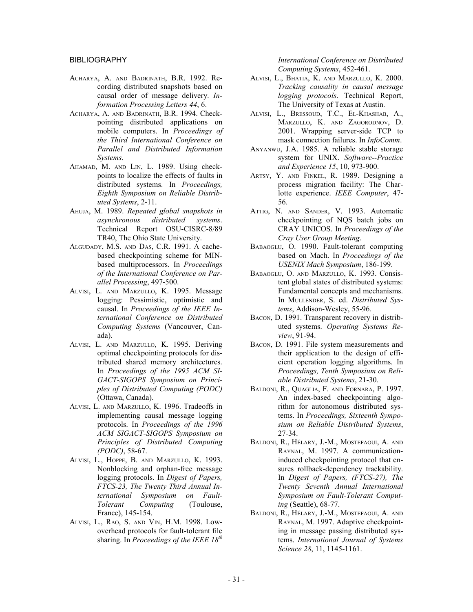#### **BIBLIOGRAPHY**

- ACHARYA, A. AND BADRINATH, B.R. 1992. Recording distributed snapshots based on causal order of message delivery. *Information Processing Letters 44*, 6.
- ACHARYA, A. AND BADRINATH, B.R. 1994. Checkpointing distributed applications on mobile computers. In *Proceedings of the Third International Conference on Parallel and Distributed Information Systems*.
- AHAMAD, M. AND LIN, L. 1989. Using checkpoints to localize the effects of faults in distributed systems. In *Proceedings, Eighth Symposium on Reliable Distributed Systems*, 2-11.
- AHUJA, M. 1989. *Repeated global snapshots in asynchronous distributed systems*. Technical Report OSU-CISRC-8/89 TR40, The Ohio State University.
- ALGUDADY, M.S. AND DAS, C.R. 1991. A cachebased checkpointing scheme for MINbased multiprocessors. In *Proceedings of the International Conference on Parallel Processing*, 497-500.
- ALVISI, L. AND MARZULLO, K. 1995. Message logging: Pessimistic, optimistic and causal. In *Proceedings of the IEEE International Conference on Distributed Computing Systems* (Vancouver, Canada).
- ALVISI, L. AND MARZULLO, K. 1995. Deriving optimal checkpointing protocols for distributed shared memory architectures. In *Proceedings of the 1995 ACM SI-GACT-SIGOPS Symposium on Principles of Distributed Computing (PODC)* (Ottawa, Canada).
- ALVISI, L. AND MARZULLO, K. 1996. Tradeoffs in implementing causal message logging protocols. In *Proceedings of the 1996 ACM SIGACT-SIGOPS Symposium on Principles of Distributed Computing (PODC)*, 58-67.
- ALVISI, L., HOPPE, B. AND MARZULLO, K. 1993. Nonblocking and orphan-free message logging protocols. In *Digest of Papers, FTCS-23, The Twenty Third Annual International Symposium on Fault-Tolerant Computing* (Toulouse, France), 145-154.
- ALVISI, L., RAO, S. AND VIN, H.M. 1998. Lowoverhead protocols for fault-tolerant file sharing. In *Proceedings of the IEEE 18th*

*International Conference on Distributed Computing Systems*, 452-461.

- ALVISI, L., BHATIA, K. AND MARZULLO, K. 2000. *Tracking causality in causal message logging protocols*. Technical Report, The University of Texas at Austin.
- ALVISI, L., BRESSOUD, T.C., EL-KHASHAB, A., MARZULLO, K. AND ZAGORODNOV, D. 2001. Wrapping server-side TCP to mask connection failures. In *InfoComm*.
- ANYANWU, J.A. 1985. A reliable stable storage system for UNIX. *Software--Practice and Experience 15*, 10, 973-900.
- ARTSY, Y. AND FINKEL, R. 1989. Designing a process migration facility: The Charlotte experience. *IEEE Computer*, 47- 56.
- ATTIG, N. AND SANDER, V. 1993. Automatic checkpointing of NQS batch jobs on CRAY UNICOS. In *Proceedings of the Cray User Group Meeting*.
- BABAOGLU, O. 1990. Fault-tolerant computing based on Mach. In *Proceedings of the USENIX Mach Symposium*, 186-199.
- BABAOGLU, O. AND MARZULLO, K. 1993. Consistent global states of distributed systems: Fundamental concepts and mechanisms. In MULLENDER, S. ed. *Distributed Systems*, Addison-Wesley, 55-96.
- BACON, D. 1991. Transparent recovery in distributed systems. *Operating Systems Review*, 91-94.
- BACON, D. 1991. File system measurements and their application to the design of efficient operation logging algorithms. In *Proceedings, Tenth Symposium on Reliable Distributed Systems*, 21-30.
- BALDONI, R., QUAGLIA, F. AND FORNARA, P. 1997. An index-based checkpointing algorithm for autonomous distributed systems. In *Proceedings, Sixteenth Symposium on Reliable Distributed Systems*, 27-34.
- BALDONI, R., HÉLARY, J.-M., MOSTEFAOUI, A. AND RAYNAL, M. 1997. A communicationinduced checkpointing protocol that ensures rollback-dependency trackability. In *Digest of Papers, (FTCS-27), The Twenty Seventh Annual International Symposium on Fault-Tolerant Computing* (Seattle), 68-77.
- BALDONI, R., HÉLARY, J.-M., MOSTEFAOUI, A. AND RAYNAL, M. 1997. Adaptive checkpointing in message passing distributed systems. *International Journal of Systems Science 28*, 11, 1145-1161.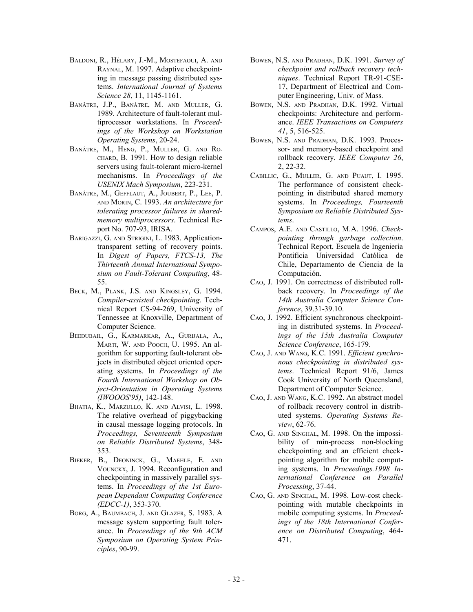- BALDONI, R., HÉLARY, J.-M., MOSTEFAOUI, A. AND RAYNAL, M. 1997. Adaptive checkpointing in message passing distributed systems. *International Journal of Systems Science 28*, 11, 1145-1161.
- BANÂTRE, J.P., BANÂTRE, M. AND MULLER, G. 1989. Architecture of fault-tolerant multiprocessor workstations. In *Proceedings of the Workshop on Workstation Operating Systems*, 20-24.
- BANÂTRE, M., HENG, P., MULLER, G. AND RO-CHARD, B. 1991. How to design reliable servers using fault-tolerant micro-kernel mechanisms. In *Proceedings of the USENIX Mach Symposium*, 223-231.
- BANÂTRE, M., GEFFLAUT, A., JOUBERT, P., LEE, P. AND MORIN, C. 1993. *An architecture for tolerating processor failures in sharedmemory multiprocessors*. Technical Report No. 707-93, IRISA.
- BARIGAZZI, G. AND STRIGINI, L. 1983. Applicationtransparent setting of recovery points. In *Digest of Papers, FTCS-13, The Thirteenth Annual International Symposium on Fault-Tolerant Computing*, 48- 55.
- BECK, M., PLANK, J.S. AND KINGSLEY, G. 1994. *Compiler-assisted checkpointing*. Technical Report CS-94-269, University of Tennessee at Knoxville, Department of Computer Science.
- BEEDUBAIL, G., KARMARKAR, A., GURIJALA, A., MARTI, W. AND POOCH, U. 1995. An algorithm for supporting fault-tolerant objects in distributed object oriented operating systems. In *Proceedings of the Fourth International Workshop on Object-Orientation in Operating Systems (IWOOOS'95)*, 142-148.
- BHATIA, K., MARZULLO, K. AND ALVISI, L. 1998. The relative overhead of piggybacking in causal message logging protocols. In *Proceedings, Seventeenth Symposium on Reliable Distributed Systems*, 348- 353.
- BIEKER, B., DEONINCK, G., MAEHLE, E. AND VOUNCKX, J. 1994. Reconfiguration and checkpointing in massively parallel systems. In *Proceedings of the 1st European Dependant Computing Conference (EDCC-1)*, 353-370.
- BORG, A., BAUMBACH, J. AND GLAZER, S. 1983. A message system supporting fault tolerance. In *Proceedings of the 9th ACM Symposium on Operating System Principles*, 90-99.
- BOWEN, N.S. AND PRADHAN, D.K. 1991. *Survey of checkpoint and rollback recovery techniques*. Technical Report TR-91-CSE-17, Department of Electrical and Computer Engineering, Univ. of Mass.
- BOWEN, N.S. AND PRADHAN, D.K. 1992. Virtual checkpoints: Architecture and performance. *IEEE Transactions on Computers 41*, 5, 516-525.
- BOWEN, N.S. AND PRADHAN, D.K. 1993. Processor- and memory-based checkpoint and rollback recovery. *IEEE Computer 26*, 2, 22-32.
- CABILLIC, G., MULLER, G. AND PUAUT, I. 1995. The performance of consistent checkpointing in distributed shared memory systems. In *Proceedings, Fourteenth Symposium on Reliable Distributed Systems*.
- CAMPOS, A.E. AND CASTILLO, M.A. 1996. *Checkpointing through garbage collection*. Technical Report, Escuela de Ingeniería Pontificia Universidad Católica de Chile, Departamento de Ciencia de la Computación.
- CAO, J. 1991. On correctness of distributed rollback recovery. In *Proceedings of the 14th Australia Computer Science Conference*, 39.31-39.10.
- CAO, J. 1992. Efficient synchronous checkpointing in distributed systems. In *Proceedings of the 15th Australia Computer Science Conference*, 165-179.
- CAO, J. AND WANG, K.C. 1991. *Efficient synchronous checkpointing in distributed systems*. Technical Report 91/6, James Cook University of North Queensland, Department of Computer Science.
- CAO, J. AND WANG, K.C. 1992. An abstract model of rollback recovery control in distributed systems. *Operating Systems Review*, 62-76.
- CAO, G. AND SINGHAL, M. 1998. On the impossibility of min-process non-blocking checkpointing and an efficient checkpointing algorithm for mobile computing systems. In *Proceedings.1998 International Conference on Parallel Processing*, 37-44.
- CAO, G. AND SINGHAL, M. 1998. Low-cost checkpointing with mutable checkpoints in mobile computing systems. In *Proceedings of the 18th International Conference on Distributed Computing*, 464- 471.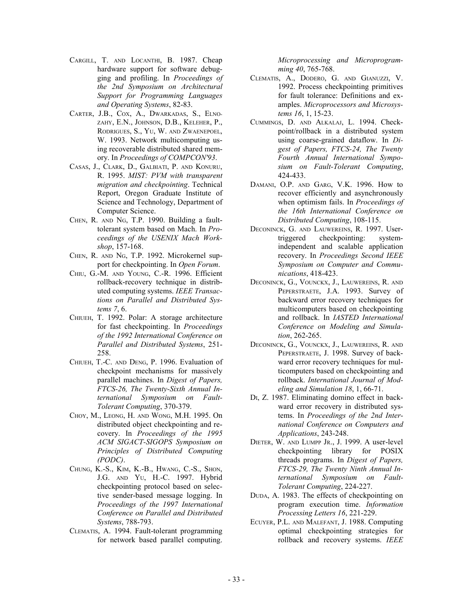- CARGILL, T. AND LOCANTHI, B. 1987. Cheap hardware support for software debugging and profiling. In *Proceedings of the 2nd Symposium on Architectural Support for Programming Languages and Operating Systems*, 82-83.
- CARTER, J.B., COX, A., DWARKADAS, S., ELNO-ZAHY, E.N., JOHNSON, D.B., KELEHER, P., RODRIGUES, S., YU, W. AND ZWAENEPOEL, W. 1993. Network multicomputing using recoverable distributed shared memory. In *Proceedings of COMPCON'93*.
- CASAS, J., CLARK, D., GALBIATI, P. AND KONURU, R. 1995. *MIST: PVM with transparent migration and checkpointing*. Technical Report, Oregon Graduate Institute of Science and Technology, Department of Computer Science.
- CHEN, R. AND NG, T.P. 1990. Building a faulttolerant system based on Mach. In *Proceedings of the USENIX Mach Workshop*, 157-168.
- CHEN, R. AND NG, T.P. 1992. Microkernel support for checkpointing. In *Open Forum*.
- CHIU, G.-M. AND YOUNG, C.-R. 1996. Efficient rollback-recovery technique in distributed computing systems. *IEEE Transactions on Parallel and Distributed Systems 7*, 6.
- CHIUEH, T. 1992. Polar: A storage architecture for fast checkpointing. In *Proceedings of the 1992 International Conference on Parallel and Distributed Systems*, 251- 258.
- CHIUEH, T.-C. AND DENG, P. 1996. Evaluation of checkpoint mechanisms for massively parallel machines. In *Digest of Papers, FTCS-26, The Twenty-Sixth Annual International Symposium on Fault-Tolerant Computing*, 370-379.
- CHOY, M., LEONG, H. AND WONG, M.H. 1995. On distributed object checkpointing and recovery. In *Proceedings of the 1995 ACM SIGACT-SIGOPS Symposium on Principles of Distributed Computing (PODC)*.
- CHUNG, K.-S., KIM, K.-B., HWANG, C.-S., SHON, J.G. AND YU, H.-C. 1997. Hybrid checkpointing protocol based on selective sender-based message logging. In *Proceedings of the 1997 International Conference on Parallel and Distributed Systems*, 788-793.
- CLEMATIS, A. 1994. Fault-tolerant programming for network based parallel computing.

*Microprocessing and Microprogramming 40*, 765-768.

- CLEMATIS, A., DODERO, G. AND GIANUZZI, V. 1992. Process checkpointing primitives for fault tolerance: Definitions and examples. *Microprocessors and Microsystems 16*, 1, 15-23.
- CUMMINGS, D. AND ALKALAJ, L. 1994. Checkpoint/rollback in a distributed system using coarse-grained dataflow. In *Digest of Papers, FTCS-24, The Twenty Fourth Annual International Symposium on Fault-Tolerant Computing*, 424-433.
- DAMANI, O.P. AND GARG, V.K. 1996. How to recover efficiently and asynchronously when optimism fails. In *Proceedings of the 16th International Conference on Distributed Computing*, 108-115.
- DECONINCK, G. AND LAUWEREINS, R. 1997. Usertriggered checkpointing: systemindependent and scalable application recovery. In *Proceedings Second IEEE Symposium on Computer and Communications*, 418-423.
- DECONINCK, G., VOUNCKX, J., LAUWEREINS, R. AND PEPERSTRAETE, J.A. 1993. Survey of backward error recovery techniques for multicomputers based on checkpointing and rollback. In *IASTED International Conference on Modeling and Simulation*, 262-265.
- DECONINCK, G., VOUNCKX, J., LAUWEREINS, R. AND PEPERSTRAETE, J. 1998. Survey of backward error recovery techniques for multicomputers based on checkpointing and rollback. *International Journal of Modeling and Simulation 18*, 1, 66-71.
- DI, Z. 1987. Eliminating domino effect in backward error recovery in distributed systems. In *Proceedings of the 2nd International Conference on Computers and Applications*, 243-248.
- DIETER, W. AND LUMPP JR., J. 1999. A user-level checkpointing library for POSIX threads programs. In *Digest of Papers, FTCS-29, The Twenty Ninth Annual International Symposium on Fault-Tolerant Computing*, 224-227.
- DUDA, A. 1983. The effects of checkpointing on program execution time. *Information Processing Letters 16*, 221-229.
- ECUYER, P.L. AND MALEFANT, J. 1988. Computing optimal checkpointing strategies for rollback and recovery systems. *IEEE*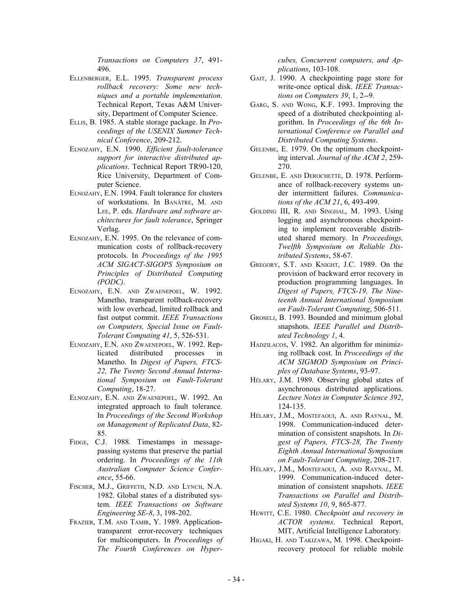*Transactions on Computers 37*, 491- 496.

- ELLENBERGER, E.L. 1995. *Transparent process rollback recovery: Some new techniques and a portable implementation*. Technical Report, Texas A&M University, Department of Computer Science.
- ELLIS, B. 1985. A stable storage package. In *Proceedings of the USENIX Summer Technical Conference*, 209-212.
- ELNOZAHY, E.N. 1990. *Efficient fault-tolerance support for interactive distributed applications*. Technical Report TR90-120, Rice University, Department of Computer Science.
- ELNOZAHY, E.N. 1994. Fault tolerance for clusters of workstations. In BANÂTRE, M. AND LEE, P. eds. *Hardware and software architectures for fault tolerance*, Springer Verlag.
- ELNOZAHY, E.N. 1995. On the relevance of communication costs of rollback-recovery protocols. In *Proceedings of the 1995 ACM SIGACT-SIGOPS Symposium on Principles of Distributed Computing (PODC)*.
- ELNOZAHY, E.N. AND ZWAENEPOEL, W. 1992. Manetho, transparent rollback-recovery with low overhead, limited rollback and fast output commit. *IEEE Transactions on Computers, Special Issue on Fault-Tolerant Computing 41*, 5, 526-531.
- ELNOZAHY, E.N. AND ZWAENEPOEL, W. 1992. Replicated distributed processes in Manetho. In *Digest of Papers, FTCS-22, The Twenty Second Annual International Symposium on Fault-Tolerant Computing*, 18-27.
- ELNOZAHY, E.N. AND ZWAENEPOEL, W. 1992. An integrated approach to fault tolerance. In *Proceedings of the Second Workshop on Management of Replicated Data*, 82- 85.
- FIDGE, C.J. 1988. Timestamps in messagepassing systems that preserve the partial ordering. In *Proceedings of the 11th Australian Computer Science Conference*, 55-66.
- FISCHER, M.J., GRIFFETH, N.D. AND LYNCH, N.A. 1982. Global states of a distributed system. *IEEE Transactions on Software Engineering SE-8*, 3, 198-202.
- FRAZIER, T.M. AND TAMIR, Y. 1989. Applicationtransparent error-recovery techniques for multicomputers. In *Proceedings of The Fourth Conferences on Hyper-*

*cubes, Concurrent computers, and Applications*, 103-108.

- GAIT, J. 1990. A checkpointing page store for write-once optical disk. *IEEE Transactions on Computers 39*, 1, 2--9.
- GARG, S. AND WONG, K.F. 1993. Improving the speed of a distributed checkpointing algorithm. In *Proceedings of the 6th International Conference on Parallel and Distributed Computing Systems*.
- GELENBE, E. 1979. On the optimum checkpointing interval. *Journal of the ACM 2*, 259- 270.
- GELENBE, E. AND DEROCHETTE, D. 1978. Performance of rollback-recovery systems under intermittent failures. *Communications of the ACM 21*, 6, 493-499.
- GOLDING III, R. AND SINGHAL, M. 1993. Using logging and asynchronous checkpointing to implement recoverable distributed shared memory. In *Proceedings, Twelfth Symposium on Reliable Distributed Systems*, 58-67.
- GREGORY, S.T. AND KNIGHT, J.C. 1989. On the provision of backward error recovery in production programming languages. In *Digest of Papers, FTCS-19, The Nineteenth Annual International Symposium on Fault-Tolerant Computing*, 506-511.
- GROSELJ, B. 1993. Bounded and minimum global snapshots. *IEEE Parallel and Distributed Technology 1*, 4.
- HADZILACOS, V. 1982. An algorithm for minimizing rollback cost. In *Proceedings of the ACM SIGMOD Symposium on Principles of Database Systems*, 93-97.
- HÉLARY, J.M. 1989. Observing global states of asynchronous distributed applications. *Lecture Notes in Computer Science 392*, 124-135.
- HÉLARY, J.M., MOSTEFAOUI, A. AND RAYNAL, M. 1998. Communication-induced determination of consistent snapshots. In *Digest of Papers, FTCS-28, The Twenty Eighth Annual International Symposium on Fault-Tolerant Computing*, 208-217.
- HÉLARY, J.M., MOSTEFAOUI, A. AND RAYNAL, M. 1999. Communication-induced determination of consistent snapshots. *IEEE Transactions on Parallel and Distributed Systems 10*, 9, 865-877.
- HEWITT, C.E. 1980. *Checkpoint and recovery in ACTOR systems*. Technical Report, MIT, Artificial Intelligence Laboratory.
- HIGAKI, H. AND TAKIZAWA, M. 1998. Checkpointrecovery protocol for reliable mobile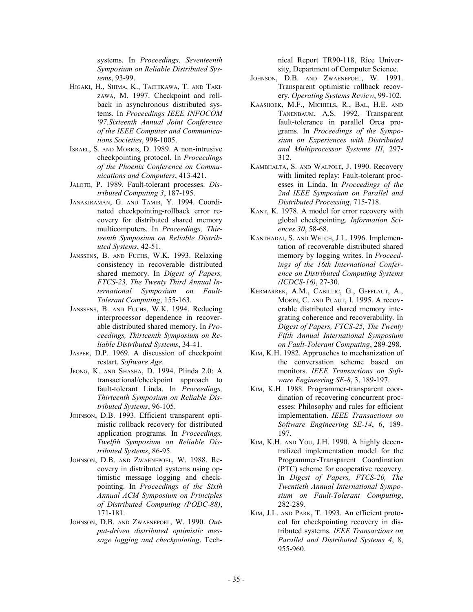systems. In *Proceedings, Seventeenth Symposium on Reliable Distributed Systems*, 93-99.

- HIGAKI, H., SHIMA, K., TACHIKAWA, T. AND TAKI-ZAWA, M. 1997. Checkpoint and rollback in asynchronous distributed systems. In *Proceedings IEEE INFOCOM '97.Sixteenth Annual Joint Conference of the IEEE Computer and Communications Societies*, 998-1005.
- ISRAEL, S. AND MORRIS, D. 1989. A non-intrusive checkpointing protocol. In *Proceedings of the Phoenix Conference on Communications and Computers*, 413-421.
- JALOTE, P. 1989. Fault-tolerant processes. *Distributed Computing 3*, 187-195.
- JANAKIRAMAN, G. AND TAMIR, Y. 1994. Coordinated checkpointing-rollback error recovery for distributed shared memory multicomputers. In *Proceedings, Thirteenth Symposium on Reliable Distributed Systems*, 42-51.
- JANSSENS, B. AND FUCHS, W.K. 1993. Relaxing consistency in recoverable distributed shared memory. In *Digest of Papers, FTCS-23, The Twenty Third Annual International Symposium on Fault-Tolerant Computing*, 155-163.
- JANSSENS, B. AND FUCHS, W.K. 1994. Reducing interprocessor dependence in recoverable distributed shared memory. In *Proceedings, Thirteenth Symposium on Reliable Distributed Systems*, 34-41.
- JASPER, D.P. 1969. A discussion of checkpoint restart. *Software Age*.
- JEONG, K. AND SHASHA, D. 1994. Plinda 2.0: A transactional/checkpoint approach to fault-tolerant Linda. In *Proceedings, Thirteenth Symposium on Reliable Distributed Systems*, 96-105.
- JOHNSON, D.B. 1993. Efficient transparent optimistic rollback recovery for distributed application programs. In *Proceedings, Twelfth Symposium on Reliable Distributed Systems*, 86-95.
- JOHNSON, D.B. AND ZWAENEPOEL, W. 1988. Recovery in distributed systems using optimistic message logging and checkpointing. In *Proceedings of the Sixth Annual ACM Symposium on Principles of Distributed Computing (PODC-88)*, 171-181.
- JOHNSON, D.B. AND ZWAENEPOEL, W. 1990. *Output-driven distributed optimistic message logging and checkpointing*. Tech-

nical Report TR90-118, Rice University, Department of Computer Science.

- JOHNSON, D.B. AND ZWAENEPOEL, W. 1991. Transparent optimistic rollback recovery. *Operating Systems Review*, 99-102.
- KAASHOEK, M.F., MICHIELS, R., BAL, H.E. AND TANENBAUM, A.S. 1992. Transparent fault-tolerance in parallel Orca programs. In *Proceedings of the Symposium on Experiences with Distributed and Multiprocessor Systems III*, 297- 312.
- KAMBHALTA, S. AND WALPOLE, J. 1990. Recovery with limited replay: Fault-tolerant processes in Linda. In *Proceedings of the 2nd IEEE Symposium on Parallel and Distributed Processing*, 715-718.
- KANT, K. 1978. A model for error recovery with global checkpointing. *Information Sciences 30*, 58-68.
- KANTHADAI, S. AND WELCH, J.L. 1996. Implementation of recoverable distributed shared memory by logging writes. In *Proceedings of the 16th International Conference on Distributed Computing Systems (ICDCS-16)*, 27-30.
- KERMARREK, A.M., CABILLIC, G., GEFFLAUT, A., MORIN, C. AND PUAUT, I. 1995. A recoverable distributed shared memory integrating coherence and recoverability. In *Digest of Papers, FTCS-25, The Twenty Fifth Annual International Symposium on Fault-Tolerant Computing*, 289-298.
- KIM, K.H. 1982. Approaches to mechanization of the conversation scheme based on monitors. *IEEE Transactions on Software Engineering SE-8*, 3, 189-197.
- KIM, K.H. 1988. Programmer-transparent coordination of recovering concurrent processes: Philosophy and rules for efficient implementation. *IEEE Transactions on Software Engineering SE-14*, 6, 189- 197.
- KIM, K.H. AND YOU, J.H. 1990. A highly decentralized implementation model for the Programmer-Transparent Coordination (PTC) scheme for cooperative recovery. In *Digest of Papers, FTCS-20, The Twentieth Annual International Symposium on Fault-Tolerant Computing*, 282-289.
- KIM, J.L. AND PARK, T. 1993. An efficient protocol for checkpointing recovery in distributed systems. *IEEE Transactions on Parallel and Distributed Systems 4*, 8, 955-960.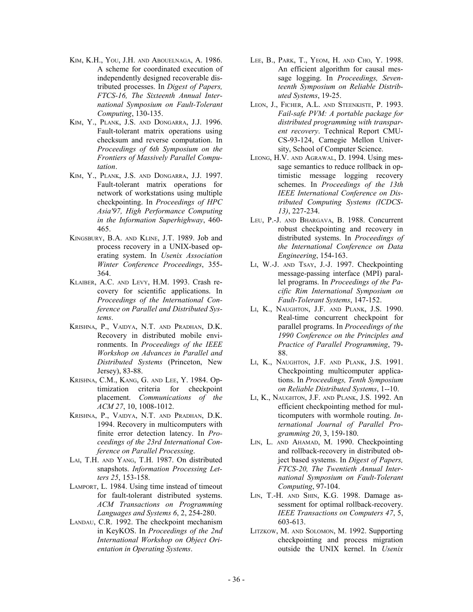- KIM, K.H., YOU, J.H. AND ABOUELNAGA, A. 1986. A scheme for coordinated execution of independently designed recoverable distributed processes. In *Digest of Papers, FTCS-16, The Sixteenth Annual International Symposium on Fault-Tolerant Computing*, 130-135.
- KIM, Y., PLANK, J.S. AND DONGARRA, J.J. 1996. Fault-tolerant matrix operations using checksum and reverse computation. In *Proceedings of 6th Symposium on the Frontiers of Massively Parallel Computation*.
- KIM, Y., PLANK, J.S. AND DONGARRA, J.J. 1997. Fault-tolerant matrix operations for network of workstations using multiple checkpointing. In *Proceedings of HPC Asia'97, High Performance Computing in the Information Superhighway*, 460- 465.
- KINGSBURY, B.A. AND KLINE, J.T. 1989. Job and process recovery in a UNIX-based operating system. In *Usenix Association Winter Conference Proceedings*, 355- 364.
- KLAIBER, A.C. AND LEVY, H.M. 1993. Crash recovery for scientific applications. In *Proceedings of the International Conference on Parallel and Distributed Systems*.
- KRISHNA, P., VAIDYA, N.T. AND PRADHAN, D.K. Recovery in distributed mobile environments. In *Proceedings of the IEEE Workshop on Advances in Parallel and Distributed Systems* (Princeton, New Jersey), 83-88.
- KRISHNA, C.M., KANG, G. AND LEE, Y. 1984. Optimization criteria for checkpoint placement. *Communications of the ACM 27*, 10, 1008-1012.
- KRISHNA, P., VAIDYA, N.T. AND PRADHAN, D.K. 1994. Recovery in multicomputers with finite error detection latency. In *Proceedings of the 23rd International Conference on Parallel Processing*.
- LAI, T.H. AND YANG, T.H. 1987. On distributed snapshots. *Information Processing Letters 25*, 153-158.
- LAMPORT, L. 1984. Using time instead of timeout for fault-tolerant distributed systems. *ACM Transactions on Programming Languages and Systems 6*, 2, 254-280.
- LANDAU, C.R. 1992. The checkpoint mechanism in KeyKOS. In *Proceedings of the 2nd International Workshop on Object Orientation in Operating Systems*.
- LEE, B., PARK, T., YEOM, H. AND CHO, Y. 1998. An efficient algorithm for causal message logging. In *Proceedings, Seventeenth Symposium on Reliable Distributed Systems*, 19-25.
- LEON, J., FICHER, A.L. AND STEENKISTE, P. 1993. *Fail-safe PVM: A portable package for distributed programming with transparent recovery*. Technical Report CMU-CS-93-124, Carnegie Mellon University, School of Computer Science.
- LEONG, H.V. AND AGRAWAL, D. 1994. Using message semantics to reduce rollback in optimistic message logging recovery schemes. In *Proceedings of the 13th IEEE International Conference on Distributed Computing Systems (ICDCS-13)*, 227-234.
- LEU, P.-J. AND BHARGAVA, B. 1988. Concurrent robust checkpointing and recovery in distributed systems. In *Proceedings of the International Conference on Data Engineering*, 154-163.
- LI, W.-J. AND TSAY, J.-J. 1997. Checkpointing message-passing interface (MPI) parallel programs. In *Proceedings of the Pacific Rim International Symposium on Fault-Tolerant Systems*, 147-152.
- LI, K., NAUGHTON, J.F. AND PLANK, J.S. 1990. Real-time concurrent checkpoint for parallel programs. In *Proceedings of the 1990 Conference on the Principles and Practice of Parallel Programming*, 79- 88.
- LI, K., NAUGHTON, J.F. AND PLANK, J.S. 1991. Checkpointing multicomputer applications. In *Proceedings, Tenth Symposium on Reliable Distributed Systems*, 1--10.
- LI, K., NAUGHTON, J.F. AND PLANK, J.S. 1992. An efficient checkpointing method for multicomputers with wormhole routing. *International Journal of Parallel Programming 20*, 3, 159-180.
- LIN, L. AND AHAMAD, M. 1990. Checkpointing and rollback-recovery in distributed object based systems. In *Digest of Papers, FTCS-20, The Twentieth Annual International Symposium on Fault-Tolerant Computing*, 97-104.
- LIN, T.-H. AND SHIN, K.G. 1998. Damage assessment for optimal rollback-recovery. *IEEE Transactions on Computers 47*, 5, 603-613.
- LITZKOW, M. AND SOLOMON, M. 1992. Supporting checkpointing and process migration outside the UNIX kernel. In *Usenix*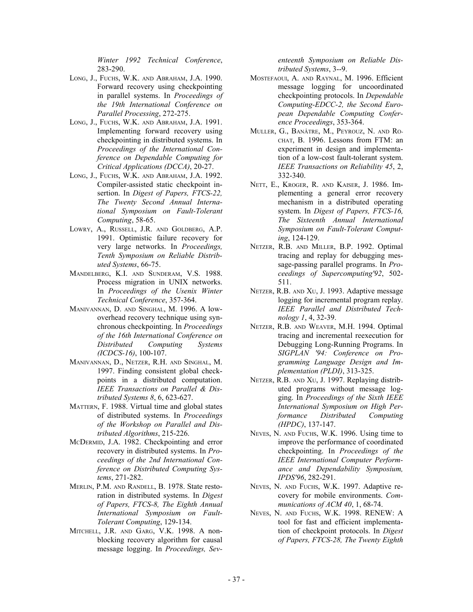*Winter 1992 Technical Conference*, 283-290.

- LONG, J., FUCHS, W.K. AND ABRAHAM, J.A. 1990. Forward recovery using checkpointing in parallel systems. In *Proceedings of the 19th International Conference on Parallel Processing*, 272-275.
- LONG, J., FUCHS, W.K. AND ABRAHAM, J.A. 1991. Implementing forward recovery using checkpointing in distributed systems. In *Proceedings of the International Conference on Dependable Computing for Critical Applications (DCCA)*, 20-27.
- LONG, J., FUCHS, W.K. AND ABRAHAM, J.A. 1992. Compiler-assisted static checkpoint insertion. In *Digest of Papers, FTCS-22, The Twenty Second Annual International Symposium on Fault-Tolerant Computing*, 58-65.
- LOWRY, A., RUSSELL, J.R. AND GOLDBERG, A.P. 1991. Optimistic failure recovery for very large networks. In *Proceedings, Tenth Symposium on Reliable Distributed Systems*, 66-75.
- MANDELBERG, K.I. AND SUNDERAM, V.S. 1988. Process migration in UNIX networks. In *Proceedings of the Usenix Winter Technical Conference*, 357-364.
- MANIVANNAN, D. AND SINGHAL, M. 1996. A lowoverhead recovery technique using synchronous checkpointing. In *Proceedings of the 16th International Conference on Distributed Computing Systems (ICDCS-16)*, 100-107.
- MANIVANNAN, D., NETZER, R.H. AND SINGHAL, M. 1997. Finding consistent global checkpoints in a distributed computation. *IEEE Transactions on Parallel & Distributed Systems 8*, 6, 623-627.
- MATTERN, F. 1988. Virtual time and global states of distributed systems. In *Proceedings of the Workshop on Parallel and Distributed Algorithms*, 215-226.
- MCDERMID, J.A. 1982. Checkpointing and error recovery in distributed systems. In *Proceedings of the 2nd International Conference on Distributed Computing Systems*, 271-282.
- MERLIN, P.M. AND RANDELL, B. 1978. State restoration in distributed systems. In *Digest of Papers, FTCS-8, The Eighth Annual International Symposium on Fault-Tolerant Computing*, 129-134.
- MITCHELL, J.R. AND GARG, V.K. 1998. A nonblocking recovery algorithm for causal message logging. In *Proceedings, Sev-*

*enteenth Symposium on Reliable Distributed Systems*, 3--9.

- MOSTEFAOUI, A. AND RAYNAL, M. 1996. Efficient message logging for uncoordinated checkpointing protocols. In *Dependable Computing-EDCC-2, the Second European Dependable Computing Conference Proceedings*, 353-364.
- MULLER, G., BANÂTRE, M., PEYROUZ, N. AND RO-CHAT, B. 1996. Lessons from FTM: an experiment in design and implementation of a low-cost fault-tolerant system. *IEEE Transactions on Reliability 45*, 2, 332-340.
- NETT, E., KROGER, R. AND KAISER, J. 1986. Implementing a general error recovery mechanism in a distributed operating system. In *Digest of Papers, FTCS-16, The Sixteenth Annual International Symposium on Fault-Tolerant Computing*, 124-129.
- NETZER, R.B. AND MILLER, B.P. 1992. Optimal tracing and replay for debugging message-passing parallel programs. In *Proceedings of Supercomputing'92*, 502- 511.
- NETZER, R.B. AND XU, J. 1993. Adaptive message logging for incremental program replay. *IEEE Parallel and Distributed Technology 1*, 4, 32-39.
- NETZER, R.B. AND WEAVER, M.H. 1994. Optimal tracing and incremental reexecution for Debugging Long-Running Programs. In *SIGPLAN '94: Conference on Programming Language Design and Implementation (PLDI)*, 313-325.
- NETZER, R.B. AND XU, J. 1997. Replaying distributed programs without message logging. In *Proceedings of the Sixth IEEE International Symposium on High Performance Distributed Computing (HPDC)*, 137-147.
- NEVES, N. AND FUCHS, W.K. 1996. Using time to improve the performance of coordinated checkpointing. In *Proceedings of the IEEE International Computer Performance and Dependability Symposium, IPDS'96*, 282-291.
- NEVES, N. AND FUCHS, W.K. 1997. Adaptive recovery for mobile environments. *Communications of ACM 40*, 1, 68-74.
- NEVES, N. AND FUCHS, W.K. 1998. RENEW: A tool for fast and efficient implementation of checkpoint protocols. In *Digest of Papers, FTCS-28, The Twenty Eighth*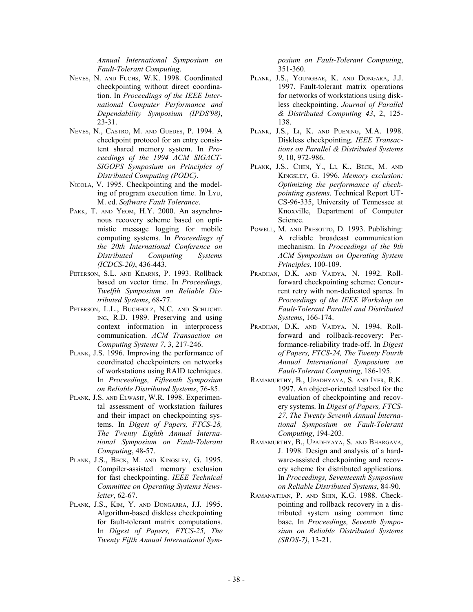*Annual International Symposium on Fault-Tolerant Computing*.

- NEVES, N. AND FUCHS, W.K. 1998. Coordinated checkpointing without direct coordination. In *Proceedings of the IEEE International Computer Performance and Dependability Symposium (IPDS'98)*, 23-31.
- NEVES, N., CASTRO, M. AND GUEDES, P. 1994. A checkpoint protocol for an entry consistent shared memory system. In *Proceedings of the 1994 ACM SIGACT-SIGOPS Symposium on Principles of Distributed Computing (PODC)*.
- NICOLA, V. 1995. Checkpointing and the modeling of program execution time. In LYU, M. ed. *Software Fault Tolerance*.
- PARK, T. AND YEOM, H.Y. 2000. An asynchronous recovery scheme based on optimistic message logging for mobile computing systems. In *Proceedings of the 20th International Conference on Distributed Computing Systems (ICDCS-20)*, 436-443.
- PETERSON, S.L. AND KEARNS, P. 1993. Rollback based on vector time. In *Proceedings, Twelfth Symposium on Reliable Distributed Systems*, 68-77.
- PETERSON, L.L., BUCHHOLZ, N.C. AND SCHLICHT-ING, R.D. 1989. Preserving and using context information in interprocess communication. *ACM Transaction on Computing Systems 7*, 3, 217-246.
- PLANK, J.S. 1996. Improving the performance of coordinated checkpointers on networks of workstations using RAID techniques. In *Proceedings, Fifteenth Symposium on Reliable Distributed Systems*, 76-85.
- PLANK, J.S. AND ELWASIF, W.R. 1998. Experimental assessment of workstation failures and their impact on checkpointing systems. In *Digest of Papers, FTCS-28, The Twenty Eighth Annual International Symposium on Fault-Tolerant Computing*, 48-57.
- PLANK, J.S., BECK, M. AND KINGSLEY, G. 1995. Compiler-assisted memory exclusion for fast checkpointing. *IEEE Technical Committee on Operating Systems Newsletter*, 62-67.
- PLANK, J.S., KIM, Y. AND DONGARRA, J.J. 1995. Algorithm-based diskless checkpointing for fault-tolerant matrix computations. In *Digest of Papers, FTCS-25, The Twenty Fifth Annual International Sym-*

*posium on Fault-Tolerant Computing*, 351-360.

- PLANK, J.S., YOUNGBAE, K. AND DONGARA, J.J. 1997. Fault-tolerant matrix operations for networks of workstations using diskless checkpointing. *Journal of Parallel & Distributed Computing 43*, 2, 125- 138.
- PLANK, J.S., LI, K. AND PUENING, M.A. 1998. Diskless checkpointing. *IEEE Transactions on Parallel & Distributed Systems 9*, 10, 972-986.
- PLANK, J.S., CHEN, Y., LI, K., BECK, M. AND KINGSLEY, G. 1996. *Memory exclusion: Optimizing the performance of checkpointing systems*. Technical Report UT-CS-96-335, University of Tennessee at Knoxville, Department of Computer Science.
- POWELL, M. AND PRESOTTO, D. 1993. Publishing: A reliable broadcast communication mechanism. In *Proceedings of the 9th ACM Symposium on Operating System Principles*, 100-109.
- PRADHAN, D.K. AND VAIDYA, N. 1992. Rollforward checkpointing scheme: Concurrent retry with non-dedicated spares. In *Proceedings of the IEEE Workshop on Fault-Tolerant Parallel and Distributed Systems*, 166-174.
- PRADHAN, D.K. AND VAIDYA, N. 1994. Rollforward and rollback-recovery: Performance-reliability trade-off. In *Digest of Papers, FTCS-24, The Twenty Fourth Annual International Symposium on Fault-Tolerant Computing*, 186-195.
- RAMAMURTHY, B., UPADHYAYA, S. AND IYER, R.K. 1997. An object-oriented testbed for the evaluation of checkpointing and recovery systems. In *Digest of Papers, FTCS-27, The Twenty Seventh Annual International Symposium on Fault-Tolerant Computing*, 194-203.
- RAMAMURTHY, B., UPADHYAYA, S. AND BHARGAVA, J. 1998. Design and analysis of a hardware-assisted checkpointing and recovery scheme for distributed applications. In *Proceedings, Seventeenth Symposium on Reliable Distributed Systems*, 84-90.
- RAMANATHAN, P. AND SHIN, K.G. 1988. Checkpointing and rollback recovery in a distributed system using common time base. In *Proceedings, Seventh Symposium on Reliable Distributed Systems (SRDS-7)*, 13-21.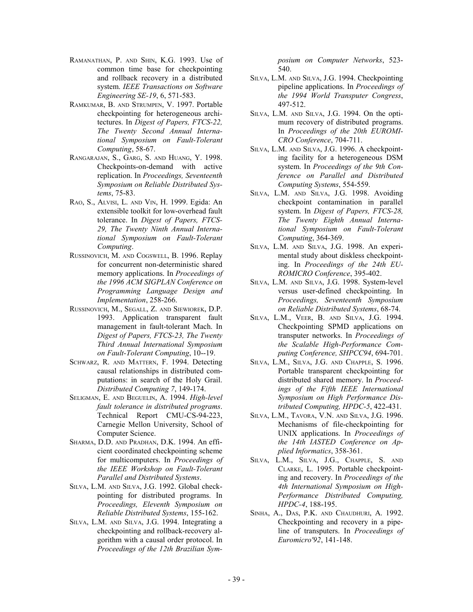- RAMANATHAN, P. AND SHIN, K.G. 1993. Use of common time base for checkpointing and rollback recovery in a distributed system. *IEEE Transactions on Software Engineering SE-19*, 6, 571-583.
- RAMKUMAR, B. AND STRUMPEN, V. 1997. Portable checkpointing for heterogeneous architectures. In *Digest of Papers, FTCS-22, The Twenty Second Annual International Symposium on Fault-Tolerant Computing*, 58-67.
- RANGARAJAN, S., GARG, S. AND HUANG, Y. 1998. Checkpoints-on-demand with active replication. In *Proceedings, Seventeenth Symposium on Reliable Distributed Systems*, 75-83.
- RAO, S., ALVISI, L. AND VIN, H. 1999. Egida: An extensible toolkit for low-overhead fault tolerance. In *Digest of Papers, FTCS-29, The Twenty Ninth Annual International Symposium on Fault-Tolerant Computing*.
- RUSSINOVICH, M. AND COGSWELL, B. 1996. Replay for concurrent non-deterministic shared memory applications. In *Proceedings of the 1996 ACM SIGPLAN Conference on Programming Language Design and Implementation*, 258-266.
- RUSSINOVICH, M., SEGALL, Z. AND SIEWIOREK, D.P. 1993. Application transparent fault management in fault-tolerant Mach. In *Digest of Papers, FTCS-23, The Twenty Third Annual International Symposium on Fault-Tolerant Computing*, 10--19.
- SCHWARZ, R. AND MATTERN, F. 1994. Detecting causal relationships in distributed computations: in search of the Holy Grail. *Distributed Computing 7*, 149-174.
- SELIGMAN, E. AND BEGUELIN, A. 1994. *High-level fault tolerance in distributed programs*. Technical Report CMU-CS-94-223, Carnegie Mellon University, School of Computer Science.
- SHARMA, D.D. AND PRADHAN, D.K. 1994. An efficient coordinated checkpointing scheme for multicomputers. In *Proceedings of the IEEE Workshop on Fault-Tolerant Parallel and Distributed Systems*.
- SILVA, L.M. AND SILVA, J.G. 1992. Global checkpointing for distributed programs. In *Proceedings, Eleventh Symposium on Reliable Distributed Systems*, 155-162.
- SILVA, L.M. AND SILVA, J.G. 1994. Integrating a checkpointing and rollback-recovery algorithm with a causal order protocol. In *Proceedings of the 12th Brazilian Sym-*

*posium on Computer Networks*, 523- 540.

- SILVA, L.M. AND SILVA, J.G. 1994. Checkpointing pipeline applications. In *Proceedings of the 1994 World Transputer Congress*, 497-512.
- SILVA, L.M. AND SILVA, J.G. 1994. On the optimum recovery of distributed programs. In *Proceedings of the 20th EUROMI-CRO Conference*, 704-711.
- SILVA, L.M. AND SILVA, J.G. 1996. A checkpointing facility for a heterogeneous DSM system. In *Proceedings of the 9th Conference on Parallel and Distributed Computing Systems*, 554-559.
- SILVA, L.M. AND SILVA, J.G. 1998. Avoiding checkpoint contamination in parallel system. In *Digest of Papers, FTCS-28, The Twenty Eighth Annual International Symposium on Fault-Tolerant Computing*, 364-369.
- SILVA, L.M. AND SILVA, J.G. 1998. An experimental study about diskless checkpointing. In *Proceedings of the 24th EU-ROMICRO Conference*, 395-402.
- SILVA, L.M. AND SILVA, J.G. 1998. System-level versus user-defined checkpointing. In *Proceedings, Seventeenth Symposium on Reliable Distributed Systems*, 68-74.
- SILVA, L.M., VEER, B. AND SILVA, J.G. 1994. Checkpointing SPMD applications on transputer networks. In *Proceedings of the Scalable High-Performance Computing Conference, SHPCC94*, 694-701.
- SILVA, L.M., SILVA, J.G. AND CHAPPLE, S. 1996. Portable transparent checkpointing for distributed shared memory. In *Proceedings of the Fifth IEEE International Symposium on High Performance Distributed Computing, HPDC-5*, 422-431.
- SILVA, L.M., TAVORA, V.N. AND SILVA, J.G. 1996. Mechanisms of file-checkpointing for UNIX applications. In *Proceedings of the 14th IASTED Conference on Applied Informatics*, 358-361.
- SILVA, L.M., SILVA, J.G., CHAPPLE, S. AND CLARKE, L. 1995. Portable checkpointing and recovery. In *Proceedings of the 4th International Symposium on High-Performance Distributed Computing, HPDC-4*, 188-195.
- SINHA, A., DAS, P.K. AND CHAUDHURI, A. 1992. Checkpointing and recovery in a pipeline of transputers. In *Proceedings of Euromicro'92*, 141-148.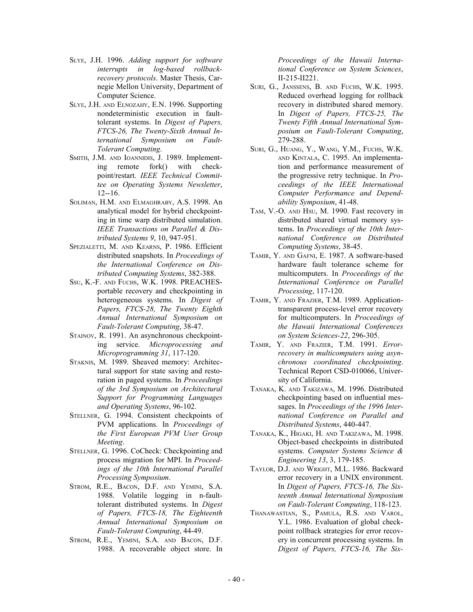- SLYE, J.H. 1996. *Adding support for software interrupts in log-based rollbackrecovery protocols*. Master Thesis, Carnegie Mellon University, Department of Computer Science.
- SLYE, J.H. AND ELNOZAHY, E.N. 1996. Supporting nondeterministic execution in faulttolerant systems. In *Digest of Papers, FTCS-26, The Twenty-Sixth Annual International Symposium on Fault-Tolerant Computing*.
- SMITH, J.M. AND IOANNIDIS, J. 1989. Implementing remote fork() with checkpoint/restart. *IEEE Technical Committee on Operating Systems Newsletter*,  $12 - 16$ .
- SOLIMAN, H.M. AND ELMAGHRABY, A.S. 1998. An analytical model for hybrid checkpointing in time warp distributed simulation. *IEEE Transactions on Parallel & Distributed Systems 9*, 10, 947-951.
- SPEZIALETTI, M. AND KEARNS, P. 1986. Efficient distributed snapshots. In *Proceedings of the International Conference on Distributed Computing Systems*, 382-388.
- SSU, K.-F. AND FUCHS, W.K. 1998. PREACHESportable recovery and checkpointing in heterogeneous systems. In *Digest of Papers, FTCS-28, The Twenty Eighth Annual International Symposium on Fault-Tolerant Computing*, 38-47.
- STAINOV, R. 1991. An asynchronous checkpointing service. *Microprocessing and Microprogramming 31*, 117-120.
- STAKNIS, M. 1989. Sheaved memory: Architectural support for state saving and restoration in paged systems. In *Proceedings of the 3rd Symposium on Architectural Support for Programming Languages and Operating Systems*, 96-102.
- STELLNER, G. 1994. Consistent checkpoints of PVM applications. In *Proceedings of the First European PVM User Group Meeting*.
- STELLNER, G. 1996. CoCheck: Checkpointing and process migration for MPI. In *Proceedings of the 10th International Parallel Processing Symposium*.
- STROM, R.E., BACON, D.F. AND YEMINI, S.A. 1988. Volatile logging in n-faulttolerant distributed systems. In *Digest of Papers, FTCS-18, The Eighteenth Annual International Symposium on Fault-Tolerant Computing*, 44-49.
- STROM, R.E., YEMINI, S.A. AND BACON, D.F. 1988. A recoverable object store. In

*Proceedings of the Hawaii International Conference on System Sciences*, II-215-II221.

- SURI, G., JANSSENS, B. AND FUCHS, W.K. 1995. Reduced overhead logging for rollback recovery in distributed shared memory. In *Digest of Papers, FTCS-25, The Twenty Fifth Annual International Symposium on Fault-Tolerant Computing*, 279-288.
- SURI, G., HUANG, Y., WANG, Y.M., FUCHS, W.K. AND KINTALA, C. 1995. An implementation and performance measurement of the progressive retry technique. In *Proceedings of the IEEE International Computer Performance and Dependability Symposium*, 41-48.
- TAM, V.-O. AND HSU, M. 1990. Fast recovery in distributed shared virtual memory systems. In *Proceedings of the 10th International Conference on Distributed Computing Systems*, 38-45.
- TAMIR, Y. AND GAFNI, E. 1987. A software-based hardware fault tolerance scheme for multicomputers. In *Proceedings of the International Conference on Parallel Processing*, 117-120.
- TAMIR, Y. AND FRAZIER, T.M. 1989. Applicationtransparent process-level error recovery for multicomputers. In *Proceedings of the Hawaii International Conferences on System Sciences-22*, 296-305.
- TAMIR, Y. AND FRAZIER, T.M. 1991. *Errorrecovery in multicomputers using asynchronous coordinated checkpointing*. Technical Report CSD-010066, University of California.
- TANAKA, K. AND TAKIZAWA, M. 1996. Distributed checkpointing based on influential messages. In *Proceedings of the 1996 International Conference on Parallel and Distributed Systems*, 440-447.
- TANAKA, K., HIGAKI, H. AND TAKIZAWA, M. 1998. Object-based checkpoints in distributed systems. *Computer Systems Science & Engineering 13*, 3, 179-185.
- TAYLOR, D.J. AND WRIGHT, M.L. 1986. Backward error recovery in a UNIX environment. In *Digest of Papers, FTCS-16, The Sixteenth Annual International Symposium on Fault-Tolerant Computing*, 118-123.
- THANAWASTIAN, S., PAMULA, R.S. AND VAROL, Y.L. 1986. Evaluation of global checkpoint rollback strategies for error recovery in concurrent processing systems. In *Digest of Papers, FTCS-16, The Six-*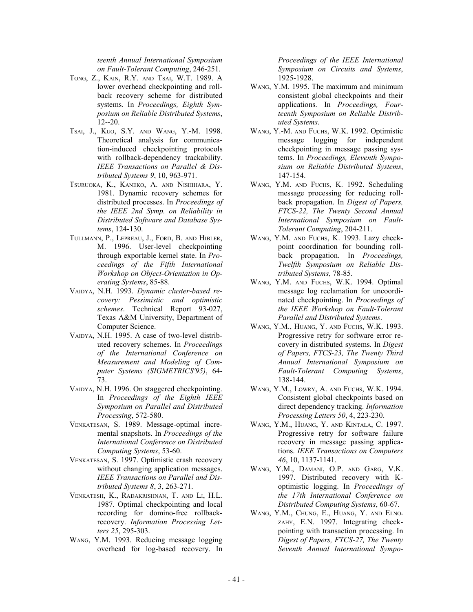*teenth Annual International Symposium on Fault-Tolerant Computing*, 246-251.

- TONG, Z., KAIN, R.Y. AND TSAI, W.T. 1989. A lower overhead checkpointing and rollback recovery scheme for distributed systems. In *Proceedings, Eighth Symposium on Reliable Distributed Systems*,  $12 - 20$ .
- TSAI, J., KUO, S.Y. AND WANG, Y.-M. 1998. Theoretical analysis for communication-induced checkpointing protocols with rollback-dependency trackability. *IEEE Transactions on Parallel & Distributed Systems 9*, 10, 963-971.
- TSURUOKA, K., KANEKO, A. AND NISHIHARA, Y. 1981. Dynamic recovery schemes for distributed processes. In *Proceedings of the IEEE 2nd Symp. on Reliability in Distributed Software and Database Systems*, 124-130.
- TULLMANN, P., LEPREAU, J., FORD, B. AND HIBLER, M. 1996. User-level checkpointing through exportable kernel state. In *Proceedings of the Fifth International Workshop on Object-Orientation in Operating Systems*, 85-88.
- VAIDYA, N.H. 1993. *Dynamic cluster-based recovery: Pessimistic and optimistic schemes*. Technical Report 93-027, Texas A&M University, Department of Computer Science.
- VAIDYA, N.H. 1995. A case of two-level distributed recovery schemes. In *Proceedings of the International Conference on Measurement and Modeling of Computer Systems (SIGMETRICS'95)*, 64- 73.
- VAIDYA, N.H. 1996. On staggered checkpointing. In *Proceedings of the Eighth IEEE Symposium on Parallel and Distributed Processing*, 572-580.
- VENKATESAN, S. 1989. Message-optimal incremental snapshots. In *Proceedings of the International Conference on Distributed Computing Systems*, 53-60.
- VENKATESAN, S. 1997. Optimistic crash recovery without changing application messages. *IEEE Transactions on Parallel and Distributed Systems 8*, 3, 263-271.
- VENKATESH, K., RADAKRISHNAN, T. AND LI, H.L. 1987. Optimal checkpointing and local recording for domino-free rollbackrecovery. *Information Processing Letters 25*, 295-303.
- WANG, Y.M. 1993. Reducing message logging overhead for log-based recovery. In

*Proceedings of the IEEE International Symposium on Circuits and Systems*, 1925-1928.

- WANG, Y.M. 1995. The maximum and minimum consistent global checkpoints and their applications. In *Proceedings, Fourteenth Symposium on Reliable Distributed Systems*.
- WANG, Y.-M. AND FUCHS, W.K. 1992. Optimistic message logging for independent checkpointing in message passing systems. In *Proceedings, Eleventh Symposium on Reliable Distributed Systems*, 147-154.
- WANG, Y.M. AND FUCHS, K. 1992. Scheduling message processing for reducing rollback propagation. In *Digest of Papers, FTCS-22, The Twenty Second Annual International Symposium on Fault-Tolerant Computing*, 204-211.
- WANG, Y.M. AND FUCHS, K. 1993. Lazy checkpoint coordination for bounding rollback propagation. In *Proceedings, Twelfth Symposium on Reliable Distributed Systems*, 78-85.
- WANG, Y.M. AND FUCHS, W.K. 1994. Optimal message log reclamation for uncoordinated checkpointing. In *Proceedings of the IEEE Workshop on Fault-Tolerant Parallel and Distributed Systems*.
- WANG, Y.M., HUANG, Y. AND FUCHS, W.K. 1993. Progressive retry for software error recovery in distributed systems. In *Digest of Papers, FTCS-23, The Twenty Third Annual International Symposium on Fault-Tolerant Computing Systems*, 138-144.
- WANG, Y.M., LOWRY, A. AND FUCHS, W.K. 1994. Consistent global checkpoints based on direct dependency tracking. *Information Processing Letters 50*, 4, 223-230.
- WANG, Y.M., HUANG, Y. AND KINTALA, C. 1997. Progressive retry for software failure recovery in message passing applications. *IEEE Transactions on Computers 46*, 10, 1137-1141.
- WANG, Y.M., DAMANI, O.P. AND GARG, V.K. 1997. Distributed recovery with Koptimistic logging. In *Proceedings of the 17th International Conference on Distributed Computing Systems*, 60-67.
- WANG, Y.M., CHUNG, E., HUANG, Y. AND ELNO-ZAHY, E.N. 1997. Integrating checkpointing with transaction processing. In *Digest of Papers, FTCS-27, The Twenty Seventh Annual International Sympo-*